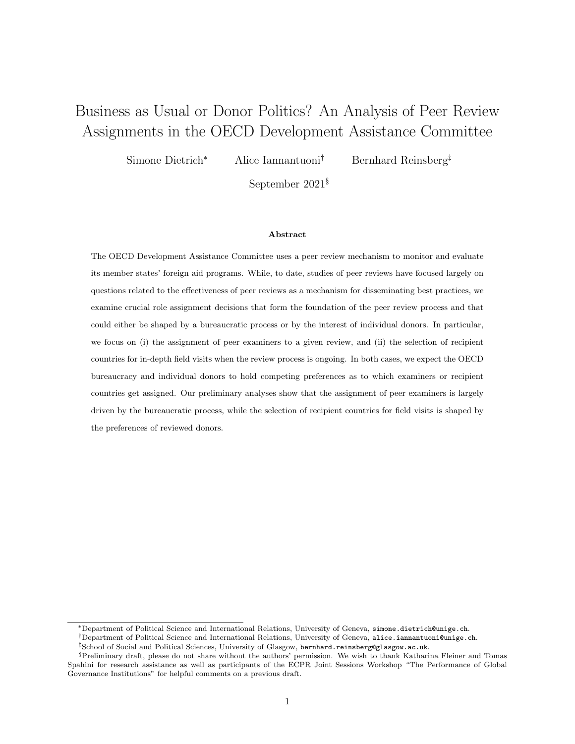# Business as Usual or Donor Politics? An Analysis of Peer Review Assignments in the OECD Development Assistance Committee

Simone Dietrich<sup>∗</sup> Alice Iannantuoni† Bernhard Reinsberg‡

September 2021§

#### Abstract

The OECD Development Assistance Committee uses a peer review mechanism to monitor and evaluate its member states' foreign aid programs. While, to date, studies of peer reviews have focused largely on questions related to the effectiveness of peer reviews as a mechanism for disseminating best practices, we examine crucial role assignment decisions that form the foundation of the peer review process and that could either be shaped by a bureaucratic process or by the interest of individual donors. In particular, we focus on (i) the assignment of peer examiners to a given review, and (ii) the selection of recipient countries for in-depth field visits when the review process is ongoing. In both cases, we expect the OECD bureaucracy and individual donors to hold competing preferences as to which examiners or recipient countries get assigned. Our preliminary analyses show that the assignment of peer examiners is largely driven by the bureaucratic process, while the selection of recipient countries for field visits is shaped by the preferences of reviewed donors.

<sup>∗</sup>Department of Political Science and International Relations, University of Geneva, [simone.dietrich@unige.ch](mailto:simone.dietrich@unige.ch).

<sup>†</sup>Department of Political Science and International Relations, University of Geneva, [alice.iannantuoni@unige.ch](mailto:alice.iannantuoni@unige.ch).

<sup>‡</sup>School of Social and Political Sciences, University of Glasgow, [bernhard.reinsberg@glasgow.ac.uk](mailto:bernhard.reinsberg@glasgow.ac.uk).

<sup>§</sup>Preliminary draft, please do not share without the authors' permission. We wish to thank Katharina Fleiner and Tomas Spahini for research assistance as well as participants of the ECPR Joint Sessions Workshop "The Performance of Global Governance Institutions" for helpful comments on a previous draft.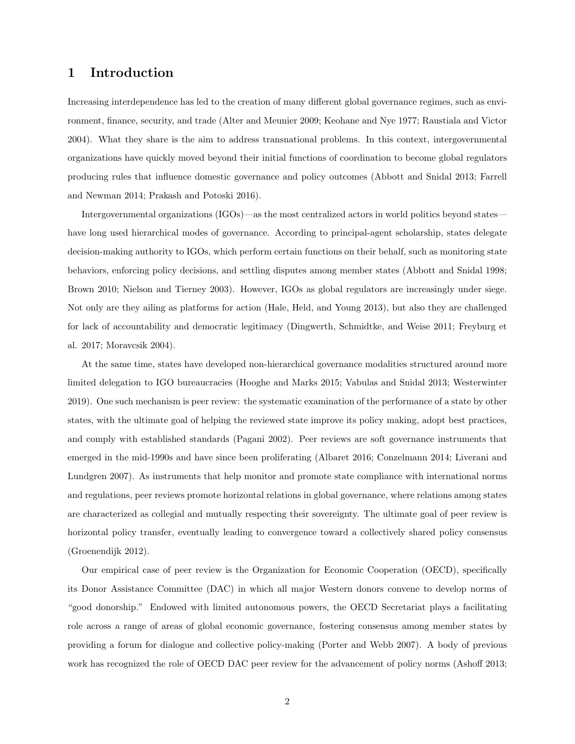### 1 Introduction

Increasing interdependence has led to the creation of many different global governance regimes, such as environment, finance, security, and trade (Alter and Meunier 2009; Keohane and Nye 1977; Raustiala and Victor 2004). What they share is the aim to address transnational problems. In this context, intergovernmental organizations have quickly moved beyond their initial functions of coordination to become global regulators producing rules that influence domestic governance and policy outcomes (Abbott and Snidal 2013; Farrell and Newman 2014; Prakash and Potoski 2016).

Intergovernmental organizations (IGOs)—as the most centralized actors in world politics beyond states have long used hierarchical modes of governance. According to principal-agent scholarship, states delegate decision-making authority to IGOs, which perform certain functions on their behalf, such as monitoring state behaviors, enforcing policy decisions, and settling disputes among member states (Abbott and Snidal 1998; Brown 2010; Nielson and Tierney 2003). However, IGOs as global regulators are increasingly under siege. Not only are they ailing as platforms for action (Hale, Held, and Young 2013), but also they are challenged for lack of accountability and democratic legitimacy (Dingwerth, Schmidtke, and Weise 2011; Freyburg et al. 2017; Moravcsik 2004).

At the same time, states have developed non-hierarchical governance modalities structured around more limited delegation to IGO bureaucracies (Hooghe and Marks 2015; Vabulas and Snidal 2013; Westerwinter 2019). One such mechanism is peer review: the systematic examination of the performance of a state by other states, with the ultimate goal of helping the reviewed state improve its policy making, adopt best practices, and comply with established standards (Pagani 2002). Peer reviews are soft governance instruments that emerged in the mid-1990s and have since been proliferating (Albaret 2016; Conzelmann 2014; Liverani and Lundgren 2007). As instruments that help monitor and promote state compliance with international norms and regulations, peer reviews promote horizontal relations in global governance, where relations among states are characterized as collegial and mutually respecting their sovereignty. The ultimate goal of peer review is horizontal policy transfer, eventually leading to convergence toward a collectively shared policy consensus (Groenendijk 2012).

Our empirical case of peer review is the Organization for Economic Cooperation (OECD), specifically its Donor Assistance Committee (DAC) in which all major Western donors convene to develop norms of "good donorship." Endowed with limited autonomous powers, the OECD Secretariat plays a facilitating role across a range of areas of global economic governance, fostering consensus among member states by providing a forum for dialogue and collective policy-making (Porter and Webb 2007). A body of previous work has recognized the role of OECD DAC peer review for the advancement of policy norms (Ashoff 2013;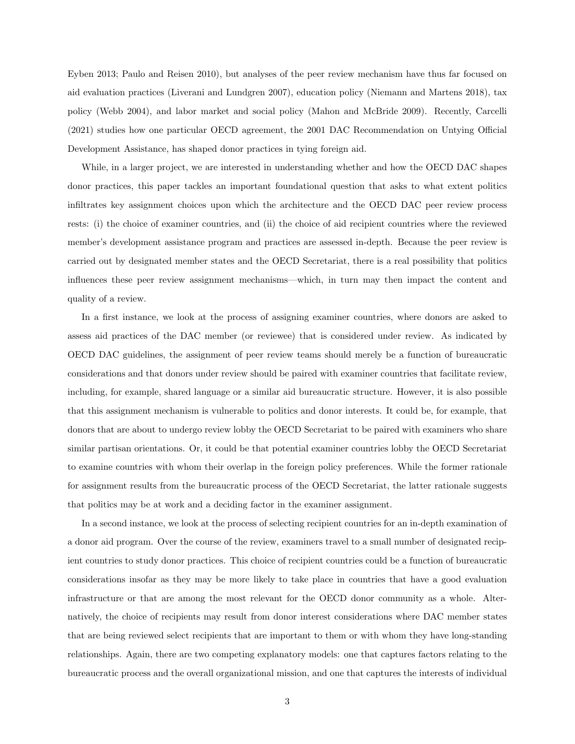Eyben 2013; Paulo and Reisen 2010), but analyses of the peer review mechanism have thus far focused on aid evaluation practices (Liverani and Lundgren 2007), education policy (Niemann and Martens 2018), tax policy (Webb 2004), and labor market and social policy (Mahon and McBride 2009). Recently, Carcelli (2021) studies how one particular OECD agreement, the 2001 DAC Recommendation on Untying Official Development Assistance, has shaped donor practices in tying foreign aid.

While, in a larger project, we are interested in understanding whether and how the OECD DAC shapes donor practices, this paper tackles an important foundational question that asks to what extent politics infiltrates key assignment choices upon which the architecture and the OECD DAC peer review process rests: (i) the choice of examiner countries, and (ii) the choice of aid recipient countries where the reviewed member's development assistance program and practices are assessed in-depth. Because the peer review is carried out by designated member states and the OECD Secretariat, there is a real possibility that politics influences these peer review assignment mechanisms—which, in turn may then impact the content and quality of a review.

In a first instance, we look at the process of assigning examiner countries, where donors are asked to assess aid practices of the DAC member (or reviewee) that is considered under review. As indicated by OECD DAC guidelines, the assignment of peer review teams should merely be a function of bureaucratic considerations and that donors under review should be paired with examiner countries that facilitate review, including, for example, shared language or a similar aid bureaucratic structure. However, it is also possible that this assignment mechanism is vulnerable to politics and donor interests. It could be, for example, that donors that are about to undergo review lobby the OECD Secretariat to be paired with examiners who share similar partisan orientations. Or, it could be that potential examiner countries lobby the OECD Secretariat to examine countries with whom their overlap in the foreign policy preferences. While the former rationale for assignment results from the bureaucratic process of the OECD Secretariat, the latter rationale suggests that politics may be at work and a deciding factor in the examiner assignment.

In a second instance, we look at the process of selecting recipient countries for an in-depth examination of a donor aid program. Over the course of the review, examiners travel to a small number of designated recipient countries to study donor practices. This choice of recipient countries could be a function of bureaucratic considerations insofar as they may be more likely to take place in countries that have a good evaluation infrastructure or that are among the most relevant for the OECD donor community as a whole. Alternatively, the choice of recipients may result from donor interest considerations where DAC member states that are being reviewed select recipients that are important to them or with whom they have long-standing relationships. Again, there are two competing explanatory models: one that captures factors relating to the bureaucratic process and the overall organizational mission, and one that captures the interests of individual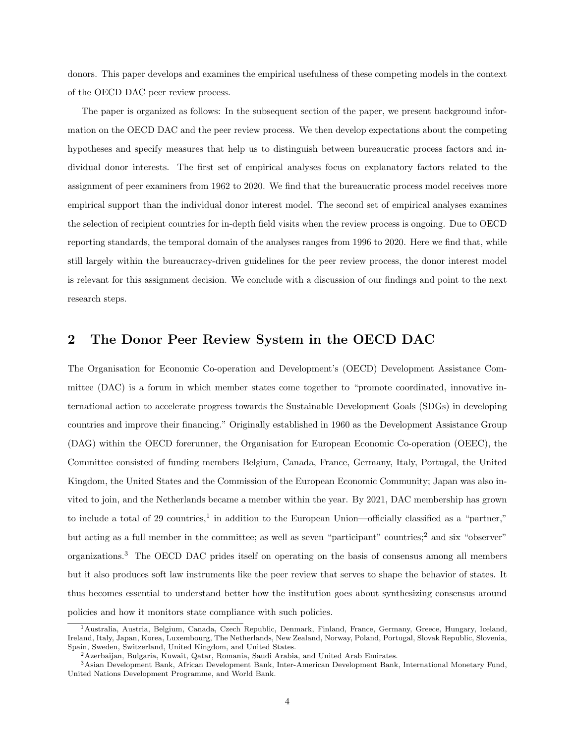donors. This paper develops and examines the empirical usefulness of these competing models in the context of the OECD DAC peer review process.

The paper is organized as follows: In the subsequent section of the paper, we present background information on the OECD DAC and the peer review process. We then develop expectations about the competing hypotheses and specify measures that help us to distinguish between bureaucratic process factors and individual donor interests. The first set of empirical analyses focus on explanatory factors related to the assignment of peer examiners from 1962 to 2020. We find that the bureaucratic process model receives more empirical support than the individual donor interest model. The second set of empirical analyses examines the selection of recipient countries for in-depth field visits when the review process is ongoing. Due to OECD reporting standards, the temporal domain of the analyses ranges from 1996 to 2020. Here we find that, while still largely within the bureaucracy-driven guidelines for the peer review process, the donor interest model is relevant for this assignment decision. We conclude with a discussion of our findings and point to the next research steps.

### 2 The Donor Peer Review System in the OECD DAC

The Organisation for Economic Co-operation and Development's (OECD) Development Assistance Committee (DAC) is a forum in which member states come together to "promote coordinated, innovative international action to accelerate progress towards the Sustainable Development Goals (SDGs) in developing countries and improve their financing." Originally established in 1960 as the Development Assistance Group (DAG) within the OECD forerunner, the Organisation for European Economic Co-operation (OEEC), the Committee consisted of funding members Belgium, Canada, France, Germany, Italy, Portugal, the United Kingdom, the United States and the Commission of the European Economic Community; Japan was also invited to join, and the Netherlands became a member within the year. By 2021, DAC membership has grown to include a total of 29 countries,<sup>[1](#page-3-0)</sup> in addition to the European Union—officially classified as a "partner," but acting as a full member in the committee; as well as seven "participant" countries;<sup>[2](#page-3-1)</sup> and six "observer" organizations.[3](#page-3-2) The OECD DAC prides itself on operating on the basis of consensus among all members but it also produces soft law instruments like the peer review that serves to shape the behavior of states. It thus becomes essential to understand better how the institution goes about synthesizing consensus around policies and how it monitors state compliance with such policies.

<span id="page-3-0"></span><sup>&</sup>lt;sup>1</sup> Australia, Austria, Belgium, Canada, Czech Republic, Denmark, Finland, France, Germany, Greece, Hungary, Iceland, Ireland, Italy, Japan, Korea, Luxembourg, The Netherlands, New Zealand, Norway, Poland, Portugal, Slovak Republic, Slovenia, Spain, Sweden, Switzerland, United Kingdom, and United States.

<span id="page-3-2"></span><span id="page-3-1"></span><sup>2</sup>Azerbaijan, Bulgaria, Kuwait, Qatar, Romania, Saudi Arabia, and United Arab Emirates.

<sup>3</sup>Asian Development Bank, African Development Bank, Inter-American Development Bank, International Monetary Fund, United Nations Development Programme, and World Bank.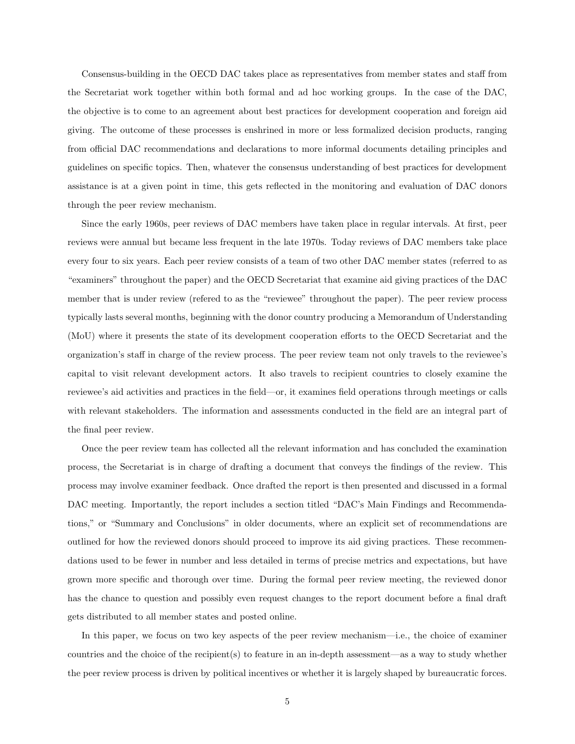Consensus-building in the OECD DAC takes place as representatives from member states and staff from the Secretariat work together within both formal and ad hoc working groups. In the case of the DAC, the objective is to come to an agreement about best practices for development cooperation and foreign aid giving. The outcome of these processes is enshrined in more or less formalized decision products, ranging from official DAC recommendations and declarations to more informal documents detailing principles and guidelines on specific topics. Then, whatever the consensus understanding of best practices for development assistance is at a given point in time, this gets reflected in the monitoring and evaluation of DAC donors through the peer review mechanism.

Since the early 1960s, peer reviews of DAC members have taken place in regular intervals. At first, peer reviews were annual but became less frequent in the late 1970s. Today reviews of DAC members take place every four to six years. Each peer review consists of a team of two other DAC member states (referred to as "examiners" throughout the paper) and the OECD Secretariat that examine aid giving practices of the DAC member that is under review (refered to as the "reviewee" throughout the paper). The peer review process typically lasts several months, beginning with the donor country producing a Memorandum of Understanding (MoU) where it presents the state of its development cooperation efforts to the OECD Secretariat and the organization's staff in charge of the review process. The peer review team not only travels to the reviewee's capital to visit relevant development actors. It also travels to recipient countries to closely examine the reviewee's aid activities and practices in the field—or, it examines field operations through meetings or calls with relevant stakeholders. The information and assessments conducted in the field are an integral part of the final peer review.

Once the peer review team has collected all the relevant information and has concluded the examination process, the Secretariat is in charge of drafting a document that conveys the findings of the review. This process may involve examiner feedback. Once drafted the report is then presented and discussed in a formal DAC meeting. Importantly, the report includes a section titled "DAC's Main Findings and Recommendations," or "Summary and Conclusions" in older documents, where an explicit set of recommendations are outlined for how the reviewed donors should proceed to improve its aid giving practices. These recommendations used to be fewer in number and less detailed in terms of precise metrics and expectations, but have grown more specific and thorough over time. During the formal peer review meeting, the reviewed donor has the chance to question and possibly even request changes to the report document before a final draft gets distributed to all member states and posted online.

In this paper, we focus on two key aspects of the peer review mechanism—i.e., the choice of examiner countries and the choice of the recipient(s) to feature in an in-depth assessment—as a way to study whether the peer review process is driven by political incentives or whether it is largely shaped by bureaucratic forces.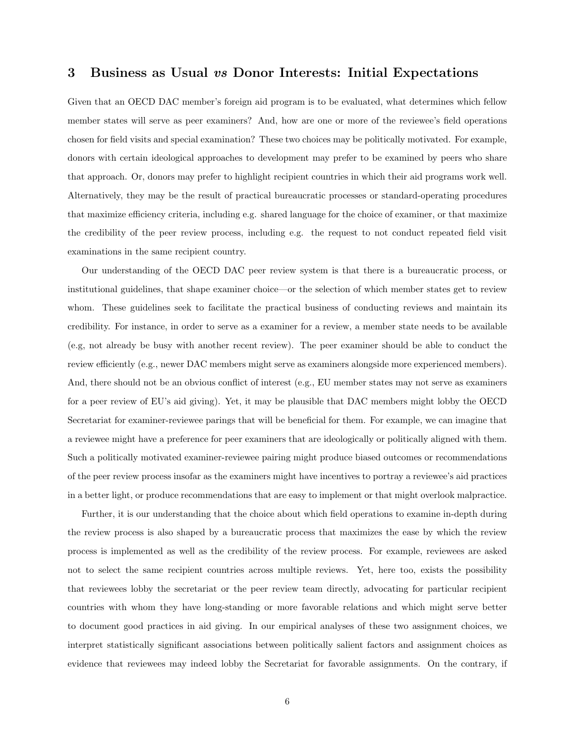### 3 Business as Usual vs Donor Interests: Initial Expectations

Given that an OECD DAC member's foreign aid program is to be evaluated, what determines which fellow member states will serve as peer examiners? And, how are one or more of the reviewee's field operations chosen for field visits and special examination? These two choices may be politically motivated. For example, donors with certain ideological approaches to development may prefer to be examined by peers who share that approach. Or, donors may prefer to highlight recipient countries in which their aid programs work well. Alternatively, they may be the result of practical bureaucratic processes or standard-operating procedures that maximize efficiency criteria, including e.g. shared language for the choice of examiner, or that maximize the credibility of the peer review process, including e.g. the request to not conduct repeated field visit examinations in the same recipient country.

Our understanding of the OECD DAC peer review system is that there is a bureaucratic process, or institutional guidelines, that shape examiner choice—or the selection of which member states get to review whom. These guidelines seek to facilitate the practical business of conducting reviews and maintain its credibility. For instance, in order to serve as a examiner for a review, a member state needs to be available (e.g, not already be busy with another recent review). The peer examiner should be able to conduct the review efficiently (e.g., newer DAC members might serve as examiners alongside more experienced members). And, there should not be an obvious conflict of interest (e.g., EU member states may not serve as examiners for a peer review of EU's aid giving). Yet, it may be plausible that DAC members might lobby the OECD Secretariat for examiner-reviewee parings that will be beneficial for them. For example, we can imagine that a reviewee might have a preference for peer examiners that are ideologically or politically aligned with them. Such a politically motivated examiner-reviewee pairing might produce biased outcomes or recommendations of the peer review process insofar as the examiners might have incentives to portray a reviewee's aid practices in a better light, or produce recommendations that are easy to implement or that might overlook malpractice.

Further, it is our understanding that the choice about which field operations to examine in-depth during the review process is also shaped by a bureaucratic process that maximizes the ease by which the review process is implemented as well as the credibility of the review process. For example, reviewees are asked not to select the same recipient countries across multiple reviews. Yet, here too, exists the possibility that reviewees lobby the secretariat or the peer review team directly, advocating for particular recipient countries with whom they have long-standing or more favorable relations and which might serve better to document good practices in aid giving. In our empirical analyses of these two assignment choices, we interpret statistically significant associations between politically salient factors and assignment choices as evidence that reviewees may indeed lobby the Secretariat for favorable assignments. On the contrary, if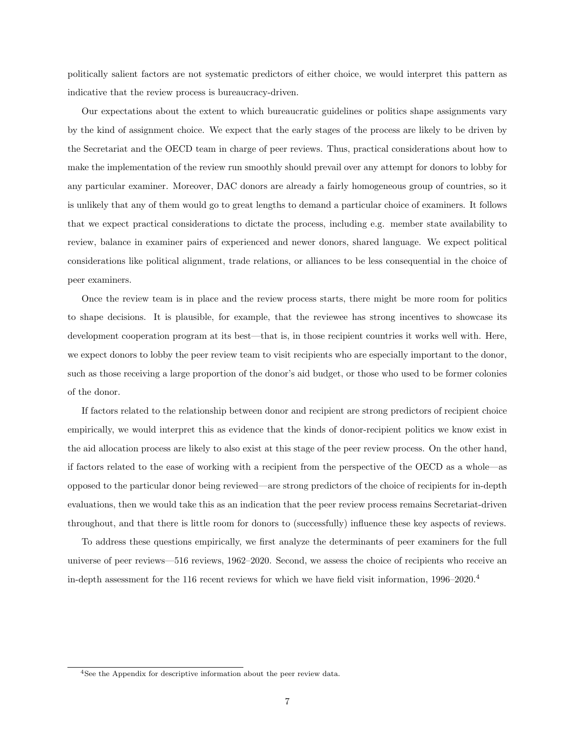politically salient factors are not systematic predictors of either choice, we would interpret this pattern as indicative that the review process is bureaucracy-driven.

Our expectations about the extent to which bureaucratic guidelines or politics shape assignments vary by the kind of assignment choice. We expect that the early stages of the process are likely to be driven by the Secretariat and the OECD team in charge of peer reviews. Thus, practical considerations about how to make the implementation of the review run smoothly should prevail over any attempt for donors to lobby for any particular examiner. Moreover, DAC donors are already a fairly homogeneous group of countries, so it is unlikely that any of them would go to great lengths to demand a particular choice of examiners. It follows that we expect practical considerations to dictate the process, including e.g. member state availability to review, balance in examiner pairs of experienced and newer donors, shared language. We expect political considerations like political alignment, trade relations, or alliances to be less consequential in the choice of peer examiners.

Once the review team is in place and the review process starts, there might be more room for politics to shape decisions. It is plausible, for example, that the reviewee has strong incentives to showcase its development cooperation program at its best—that is, in those recipient countries it works well with. Here, we expect donors to lobby the peer review team to visit recipients who are especially important to the donor, such as those receiving a large proportion of the donor's aid budget, or those who used to be former colonies of the donor.

If factors related to the relationship between donor and recipient are strong predictors of recipient choice empirically, we would interpret this as evidence that the kinds of donor-recipient politics we know exist in the aid allocation process are likely to also exist at this stage of the peer review process. On the other hand, if factors related to the ease of working with a recipient from the perspective of the OECD as a whole—as opposed to the particular donor being reviewed—are strong predictors of the choice of recipients for in-depth evaluations, then we would take this as an indication that the peer review process remains Secretariat-driven throughout, and that there is little room for donors to (successfully) influence these key aspects of reviews.

To address these questions empirically, we first analyze the determinants of peer examiners for the full universe of peer reviews—516 reviews, 1962–2020. Second, we assess the choice of recipients who receive an in-depth assessment for the 116 recent reviews for which we have field visit information, 1996–2020.[4](#page-6-0)

<span id="page-6-0"></span><sup>&</sup>lt;sup>4</sup>See the Appendix for descriptive information about the peer review data.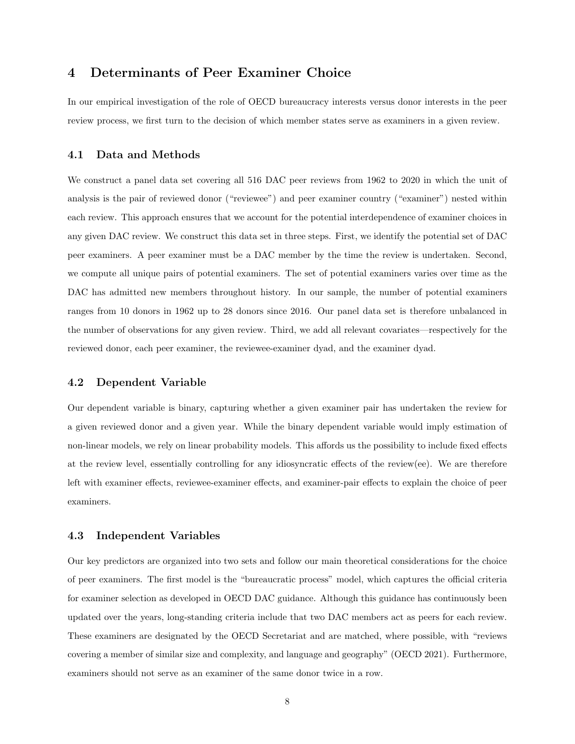### 4 Determinants of Peer Examiner Choice

In our empirical investigation of the role of OECD bureaucracy interests versus donor interests in the peer review process, we first turn to the decision of which member states serve as examiners in a given review.

### 4.1 Data and Methods

We construct a panel data set covering all 516 DAC peer reviews from 1962 to 2020 in which the unit of analysis is the pair of reviewed donor ("reviewee") and peer examiner country ("examiner") nested within each review. This approach ensures that we account for the potential interdependence of examiner choices in any given DAC review. We construct this data set in three steps. First, we identify the potential set of DAC peer examiners. A peer examiner must be a DAC member by the time the review is undertaken. Second, we compute all unique pairs of potential examiners. The set of potential examiners varies over time as the DAC has admitted new members throughout history. In our sample, the number of potential examiners ranges from 10 donors in 1962 up to 28 donors since 2016. Our panel data set is therefore unbalanced in the number of observations for any given review. Third, we add all relevant covariates—respectively for the reviewed donor, each peer examiner, the reviewee-examiner dyad, and the examiner dyad.

### 4.2 Dependent Variable

Our dependent variable is binary, capturing whether a given examiner pair has undertaken the review for a given reviewed donor and a given year. While the binary dependent variable would imply estimation of non-linear models, we rely on linear probability models. This affords us the possibility to include fixed effects at the review level, essentially controlling for any idiosyncratic effects of the review(ee). We are therefore left with examiner effects, reviewee-examiner effects, and examiner-pair effects to explain the choice of peer examiners.

#### 4.3 Independent Variables

Our key predictors are organized into two sets and follow our main theoretical considerations for the choice of peer examiners. The first model is the "bureaucratic process" model, which captures the official criteria for examiner selection as developed in OECD DAC guidance. Although this guidance has continuously been updated over the years, long-standing criteria include that two DAC members act as peers for each review. These examiners are designated by the OECD Secretariat and are matched, where possible, with "reviews covering a member of similar size and complexity, and language and geography" (OECD 2021). Furthermore, examiners should not serve as an examiner of the same donor twice in a row.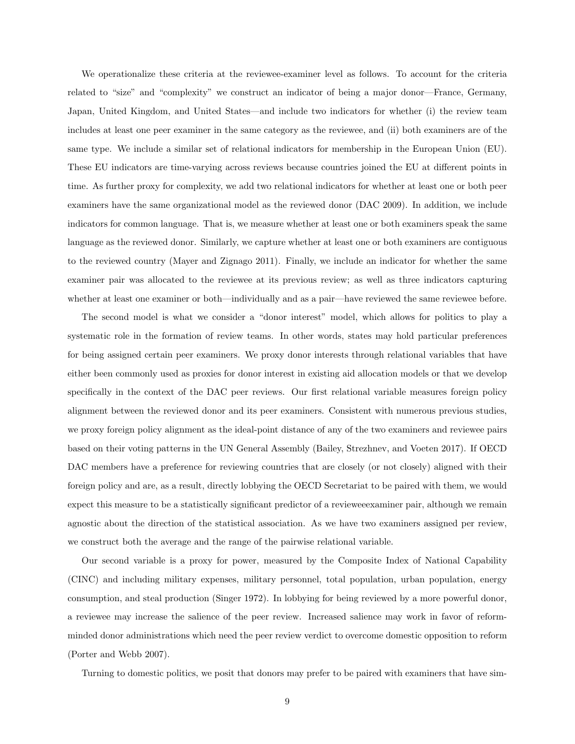We operationalize these criteria at the reviewee-examiner level as follows. To account for the criteria related to "size" and "complexity" we construct an indicator of being a major donor—France, Germany, Japan, United Kingdom, and United States—and include two indicators for whether (i) the review team includes at least one peer examiner in the same category as the reviewee, and (ii) both examiners are of the same type. We include a similar set of relational indicators for membership in the European Union (EU). These EU indicators are time-varying across reviews because countries joined the EU at different points in time. As further proxy for complexity, we add two relational indicators for whether at least one or both peer examiners have the same organizational model as the reviewed donor (DAC 2009). In addition, we include indicators for common language. That is, we measure whether at least one or both examiners speak the same language as the reviewed donor. Similarly, we capture whether at least one or both examiners are contiguous to the reviewed country (Mayer and Zignago 2011). Finally, we include an indicator for whether the same examiner pair was allocated to the reviewee at its previous review; as well as three indicators capturing whether at least one examiner or both—individually and as a pair—have reviewed the same reviewee before.

The second model is what we consider a "donor interest" model, which allows for politics to play a systematic role in the formation of review teams. In other words, states may hold particular preferences for being assigned certain peer examiners. We proxy donor interests through relational variables that have either been commonly used as proxies for donor interest in existing aid allocation models or that we develop specifically in the context of the DAC peer reviews. Our first relational variable measures foreign policy alignment between the reviewed donor and its peer examiners. Consistent with numerous previous studies, we proxy foreign policy alignment as the ideal-point distance of any of the two examiners and reviewee pairs based on their voting patterns in the UN General Assembly (Bailey, Strezhnev, and Voeten 2017). If OECD DAC members have a preference for reviewing countries that are closely (or not closely) aligned with their foreign policy and are, as a result, directly lobbying the OECD Secretariat to be paired with them, we would expect this measure to be a statistically significant predictor of a revieweeexaminer pair, although we remain agnostic about the direction of the statistical association. As we have two examiners assigned per review, we construct both the average and the range of the pairwise relational variable.

Our second variable is a proxy for power, measured by the Composite Index of National Capability (CINC) and including military expenses, military personnel, total population, urban population, energy consumption, and steal production (Singer 1972). In lobbying for being reviewed by a more powerful donor, a reviewee may increase the salience of the peer review. Increased salience may work in favor of reformminded donor administrations which need the peer review verdict to overcome domestic opposition to reform (Porter and Webb 2007).

Turning to domestic politics, we posit that donors may prefer to be paired with examiners that have sim-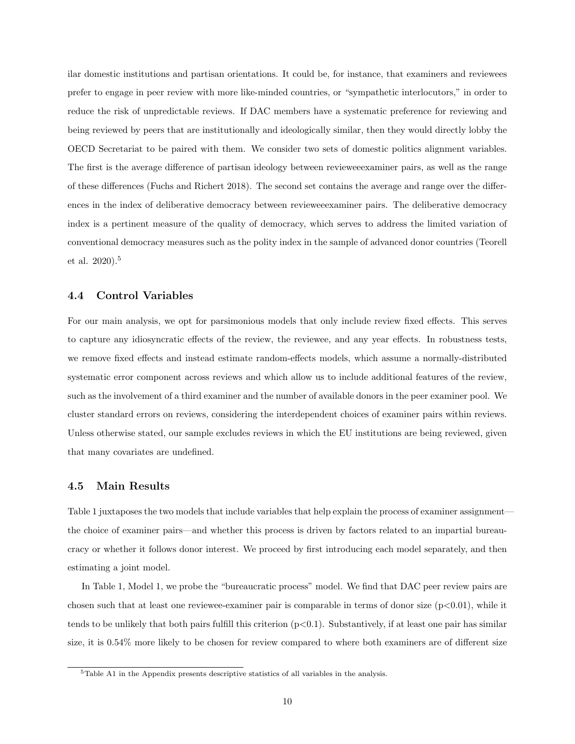ilar domestic institutions and partisan orientations. It could be, for instance, that examiners and reviewees prefer to engage in peer review with more like-minded countries, or "sympathetic interlocutors," in order to reduce the risk of unpredictable reviews. If DAC members have a systematic preference for reviewing and being reviewed by peers that are institutionally and ideologically similar, then they would directly lobby the OECD Secretariat to be paired with them. We consider two sets of domestic politics alignment variables. The first is the average difference of partisan ideology between revieweeexaminer pairs, as well as the range of these differences (Fuchs and Richert 2018). The second set contains the average and range over the differences in the index of deliberative democracy between revieweeexaminer pairs. The deliberative democracy index is a pertinent measure of the quality of democracy, which serves to address the limited variation of conventional democracy measures such as the polity index in the sample of advanced donor countries (Teorell et al. 2020).[5](#page-9-0)

### 4.4 Control Variables

For our main analysis, we opt for parsimonious models that only include review fixed effects. This serves to capture any idiosyncratic effects of the review, the reviewee, and any year effects. In robustness tests, we remove fixed effects and instead estimate random-effects models, which assume a normally-distributed systematic error component across reviews and which allow us to include additional features of the review, such as the involvement of a third examiner and the number of available donors in the peer examiner pool. We cluster standard errors on reviews, considering the interdependent choices of examiner pairs within reviews. Unless otherwise stated, our sample excludes reviews in which the EU institutions are being reviewed, given that many covariates are undefined.

### 4.5 Main Results

Table [1](#page-10-0) juxtaposes the two models that include variables that help explain the process of examiner assignment the choice of examiner pairs—and whether this process is driven by factors related to an impartial bureaucracy or whether it follows donor interest. We proceed by first introducing each model separately, and then estimating a joint model.

In Table [1,](#page-10-0) Model 1, we probe the "bureaucratic process" model. We find that DAC peer review pairs are chosen such that at least one reviewee-examiner pair is comparable in terms of donor size  $(p<0.01)$ , while it tends to be unlikely that both pairs fulfill this criterion  $(p<0.1)$ . Substantively, if at least one pair has similar size, it is 0.54% more likely to be chosen for review compared to where both examiners are of different size

<span id="page-9-0"></span> $5$ Table [A1](#page-29-0) in the Appendix presents descriptive statistics of all variables in the analysis.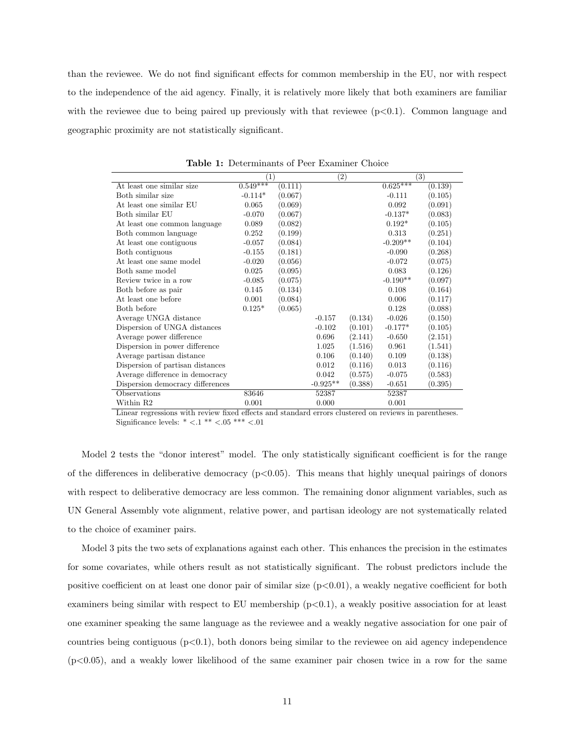than the reviewee. We do not find significant effects for common membership in the EU, nor with respect to the independence of the aid agency. Finally, it is relatively more likely that both examiners are familiar with the reviewee due to being paired up previously with that reviewee  $(p<0.1)$ . Common language and geographic proximity are not statistically significant.

<span id="page-10-0"></span>

|                                  | $\left(1\right)$ |         | $\left( 2\right)$ |         |            | (3)     |
|----------------------------------|------------------|---------|-------------------|---------|------------|---------|
| At least one similar size        | $0.549***$       | (0.111) |                   |         | $0.625***$ | (0.139) |
| Both similar size                | $-0.114*$        | (0.067) |                   |         | $-0.111$   | (0.105) |
| At least one similar EU          | 0.065            | (0.069) |                   |         | 0.092      | (0.091) |
| Both similar EU                  | $-0.070$         | (0.067) |                   |         | $-0.137*$  | (0.083) |
| At least one common language     | 0.089            | (0.082) |                   |         | $0.192*$   | (0.105) |
| Both common language             | 0.252            | (0.199) |                   |         | 0.313      | (0.251) |
| At least one contiguous          | $-0.057$         | (0.084) |                   |         | $-0.209**$ | (0.104) |
| Both contiguous                  | $-0.155$         | (0.181) |                   |         | $-0.090$   | (0.268) |
| At least one same model          | $-0.020$         | (0.056) |                   |         | $-0.072$   | (0.075) |
| Both same model                  | 0.025            | (0.095) |                   |         | 0.083      | (0.126) |
| Review twice in a row            | $-0.085$         | (0.075) |                   |         | $-0.190**$ | (0.097) |
| Both before as pair              | 0.145            | (0.134) |                   |         | 0.108      | (0.164) |
| At least one before              | 0.001            | (0.084) |                   |         | 0.006      | (0.117) |
| Both before                      | $0.125*$         | (0.065) |                   |         | 0.128      | (0.088) |
| Average UNGA distance            |                  |         | $-0.157$          | (0.134) | $-0.026$   | (0.150) |
| Dispersion of UNGA distances     |                  |         | $-0.102$          | (0.101) | $-0.177*$  | (0.105) |
| Average power difference         |                  |         | 0.696             | (2.141) | $-0.650$   | (2.151) |
| Dispersion in power difference   |                  |         | 1.025             | (1.516) | 0.961      | (1.541) |
| Average partisan distance        |                  |         | 0.106             | (0.140) | 0.109      | (0.138) |
| Dispersion of partisan distances |                  |         | 0.012             | (0.116) | 0.013      | (0.116) |
| Average difference in democracy  |                  |         | 0.042             | (0.575) | $-0.075$   | (0.583) |
| Dispersion democracy differences |                  |         | $-0.925**$        | (0.388) | $-0.651$   | (0.395) |
| Observations                     | 83646            |         | 52387             |         | 52387      |         |
| Within R2                        | 0.001            |         | 0.000             |         | 0.001      |         |

Table 1: Determinants of Peer Examiner Choice

Linear regressions with review fixed effects and standard errors clustered on reviews in parentheses. Significance levels:  $* < 0.1 ** < 0.05 *** < 0.01$ 

Model 2 tests the "donor interest" model. The only statistically significant coefficient is for the range of the differences in deliberative democracy  $(p<0.05)$ . This means that highly unequal pairings of donors with respect to deliberative democracy are less common. The remaining donor alignment variables, such as UN General Assembly vote alignment, relative power, and partisan ideology are not systematically related to the choice of examiner pairs.

Model 3 pits the two sets of explanations against each other. This enhances the precision in the estimates for some covariates, while others result as not statistically significant. The robust predictors include the positive coefficient on at least one donor pair of similar size  $(p<0.01)$ , a weakly negative coefficient for both examiners being similar with respect to EU membership  $(p<0.1)$ , a weakly positive association for at least one examiner speaking the same language as the reviewee and a weakly negative association for one pair of countries being contiguous  $(p<0.1)$ , both donors being similar to the reviewee on aid agency independence  $(p<0.05)$ , and a weakly lower likelihood of the same examiner pair chosen twice in a row for the same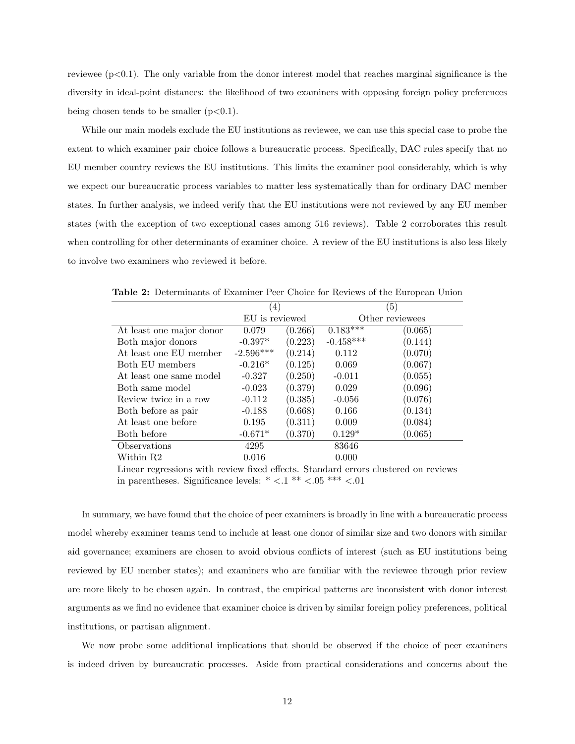reviewee  $(p<0.1)$ . The only variable from the donor interest model that reaches marginal significance is the diversity in ideal-point distances: the likelihood of two examiners with opposing foreign policy preferences being chosen tends to be smaller  $(p<0.1)$ .

While our main models exclude the EU institutions as reviewee, we can use this special case to probe the extent to which examiner pair choice follows a bureaucratic process. Specifically, DAC rules specify that no EU member country reviews the EU institutions. This limits the examiner pool considerably, which is why we expect our bureaucratic process variables to matter less systematically than for ordinary DAC member states. In further analysis, we indeed verify that the EU institutions were not reviewed by any EU member states (with the exception of two exceptional cases among 516 reviews). Table [2](#page-11-0) corroborates this result when controlling for other determinants of examiner choice. A review of the EU institutions is also less likely to involve two examiners who reviewed it before.

|                          | (4)            |         | (5)         |                 |  |  |
|--------------------------|----------------|---------|-------------|-----------------|--|--|
|                          | EU is reviewed |         |             | Other reviewees |  |  |
| At least one major donor | 0.079          | (0.266) | $0.183***$  | (0.065)         |  |  |
| Both major donors        | $-0.397*$      | (0.223) | $-0.458***$ | (0.144)         |  |  |
| At least one EU member   | $-2.596***$    | (0.214) | 0.112       | (0.070)         |  |  |
| Both EU members          | $-0.216*$      | (0.125) | 0.069       | (0.067)         |  |  |
| At least one same model  | $-0.327$       | (0.250) | $-0.011$    | (0.055)         |  |  |
| Both same model          | $-0.023$       | (0.379) | 0.029       | (0.096)         |  |  |
| Review twice in a row    | $-0.112$       | (0.385) | $-0.056$    | (0.076)         |  |  |
| Both before as pair      | $-0.188$       | (0.668) | 0.166       | (0.134)         |  |  |
| At least one before      | 0.195          | (0.311) | 0.009       | (0.084)         |  |  |
| Both before              | $-0.671*$      | (0.370) | $0.129*$    | (0.065)         |  |  |
| Observations             | 4295           |         | 83646       |                 |  |  |
| Within R2                | 0.016          |         | 0.000       |                 |  |  |

<span id="page-11-0"></span>Table 2: Determinants of Examiner Peer Choice for Reviews of the European Union

Linear regressions with review fixed effects. Standard errors clustered on reviews in parentheses. Significance levels: \*  $< 0.1$  \*\*  $< 0.05$  \*\*\*  $< 0.01$ 

In summary, we have found that the choice of peer examiners is broadly in line with a bureaucratic process model whereby examiner teams tend to include at least one donor of similar size and two donors with similar aid governance; examiners are chosen to avoid obvious conflicts of interest (such as EU institutions being reviewed by EU member states); and examiners who are familiar with the reviewee through prior review are more likely to be chosen again. In contrast, the empirical patterns are inconsistent with donor interest arguments as we find no evidence that examiner choice is driven by similar foreign policy preferences, political institutions, or partisan alignment.

We now probe some additional implications that should be observed if the choice of peer examiners is indeed driven by bureaucratic processes. Aside from practical considerations and concerns about the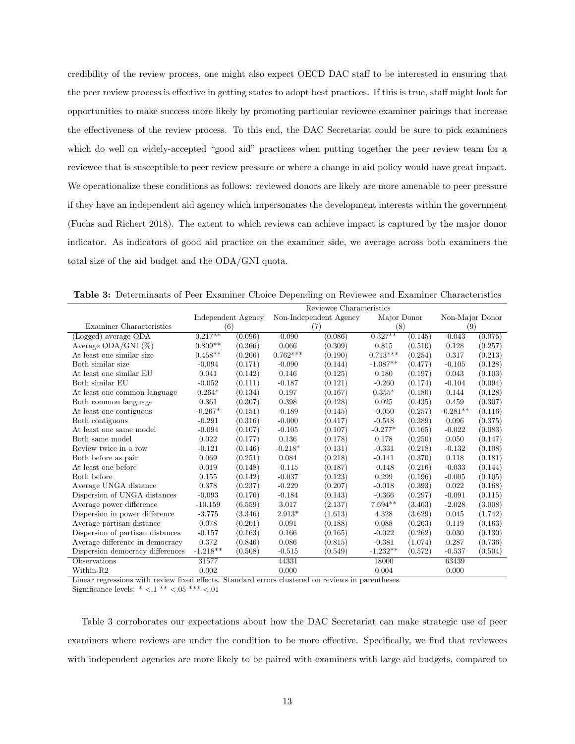credibility of the review process, one might also expect OECD DAC staff to be interested in ensuring that the peer review process is effective in getting states to adopt best practices. If this is true, staff might look for opportunities to make success more likely by promoting particular reviewee examiner pairings that increase the effectiveness of the review process. To this end, the DAC Secretariat could be sure to pick examiners which do well on widely-accepted "good aid" practices when putting together the peer review team for a reviewee that is susceptible to peer review pressure or where a change in aid policy would have great impact. We operationalize these conditions as follows: reviewed donors are likely are more amenable to peer pressure if they have an independent aid agency which impersonates the development interests within the government (Fuchs and Richert 2018). The extent to which reviews can achieve impact is captured by the major donor indicator. As indicators of good aid practice on the examiner side, we average across both examiners the total size of the aid budget and the ODA/GNI quota.

|                                  | Reviewee Characteristics |         |            |                        |             |         |                 |         |
|----------------------------------|--------------------------|---------|------------|------------------------|-------------|---------|-----------------|---------|
|                                  | Independent Agency       |         |            | Non-Independent Agency | Major Donor |         | Non-Major Donor |         |
| Examiner Characteristics         | (6)                      |         | (7)        |                        | (8)         |         | (9)             |         |
| (Logged) average ODA             | $0.217**$                | (0.096) | $-0.090$   | (0.086)                | $0.327**$   | (0.145) | $-0.043$        | (0.075) |
| Average ODA/GNI (%)              | $0.809**$                | (0.366) | 0.066      | (0.309)                | 0.815       | (0.510) | 0.128           | (0.257) |
| At least one similar size        | $0.458**$                | (0.206) | $0.762***$ | (0.190)                | $0.713***$  | (0.254) | 0.317           | (0.213) |
| Both similar size                | $-0.094$                 | (0.171) | $-0.090$   | (0.144)                | $-1.087**$  | (0.477) | $-0.105$        | (0.128) |
| At least one similar EU          | 0.041                    | (0.142) | 0.146      | (0.125)                | 0.180       | (0.197) | 0.043           | (0.103) |
| Both similar EU                  | $-0.052$                 | (0.111) | $-0.187$   | (0.121)                | $-0.260$    | (0.174) | $-0.104$        | (0.094) |
| At least one common language     | $0.264*$                 | (0.134) | 0.197      | (0.167)                | $0.355*$    | (0.180) | 0.144           | (0.128) |
| Both common language             | 0.361                    | (0.307) | 0.398      | (0.428)                | 0.025       | (0.435) | 0.459           | (0.307) |
| At least one contiguous          | $-0.267*$                | (0.151) | $-0.189$   | (0.145)                | $-0.050$    | (0.257) | $-0.281**$      | (0.116) |
| Both contiguous                  | $-0.291$                 | (0.316) | $-0.000$   | (0.417)                | $-0.548$    | (0.389) | 0.096           | (0.375) |
| At least one same model          | $-0.094$                 | (0.107) | $-0.105$   | (0.107)                | $-0.277*$   | (0.165) | $-0.022$        | (0.083) |
| Both same model                  | 0.022                    | (0.177) | 0.136      | (0.178)                | 0.178       | (0.250) | 0.050           | (0.147) |
| Review twice in a row            | $-0.121$                 | (0.146) | $-0.218*$  | (0.131)                | $-0.331$    | (0.218) | $-0.132$        | (0.108) |
| Both before as pair              | 0.069                    | (0.251) | 0.084      | (0.218)                | $-0.141$    | (0.370) | 0.118           | (0.181) |
| At least one before              | 0.019                    | (0.148) | $-0.115$   | (0.187)                | $-0.148$    | (0.216) | $-0.033$        | (0.144) |
| Both before                      | 0.155                    | (0.142) | $-0.037$   | (0.123)                | 0.299       | (0.196) | $-0.005$        | (0.105) |
| Average UNGA distance            | 0.378                    | (0.237) | $-0.229$   | (0.207)                | $-0.018$    | (0.393) | 0.022           | (0.168) |
| Dispersion of UNGA distances     | $-0.093$                 | (0.176) | $-0.184$   | (0.143)                | $-0.366$    | (0.297) | $-0.091$        | (0.115) |
| Average power difference         | $-10.159$                | (6.559) | 3.017      | (2.137)                | $7.694**$   | (3.463) | $-2.028$        | (3.008) |
| Dispersion in power difference   | $-3.775$                 | (3.346) | $2.913*$   | (1.613)                | 4.328       | (3.629) | 0.045           | (1.742) |
| Average partisan distance        | 0.078                    | (0.201) | 0.091      | (0.188)                | 0.088       | (0.263) | 0.119           | (0.163) |
| Dispersion of partisan distances | $-0.157$                 | (0.163) | 0.166      | (0.165)                | $-0.022$    | (0.262) | 0.030           | (0.130) |
| Average difference in democracy  | 0.372                    | (0.846) | 0.086      | (0.815)                | $-0.381$    | (1.074) | 0.287           | (0.736) |
| Dispersion democracy differences | $-1.218**$               | (0.508) | $-0.515$   | (0.549)                | $-1.232**$  | (0.572) | $-0.537$        | (0.504) |
| Observations                     | 31577                    |         | 44331      |                        | 18000       |         | 63439           |         |
| Within-R2                        | 0.002                    |         | 0.000      |                        | 0.004       |         | 0.000           |         |

<span id="page-12-0"></span>Table 3: Determinants of Peer Examiner Choice Depending on Reviewee and Examiner Characteristics

Linear regressions with review fixed effects. Standard errors clustered on reviews in parentheses. Significance levels:  $* < 0.1$  \*\*  $< 0.05$  \*\*\*  $< 0.01$ 

Table [3](#page-12-0) corroborates our expectations about how the DAC Secretariat can make strategic use of peer examiners where reviews are under the condition to be more effective. Specifically, we find that reviewees with independent agencies are more likely to be paired with examiners with large aid budgets, compared to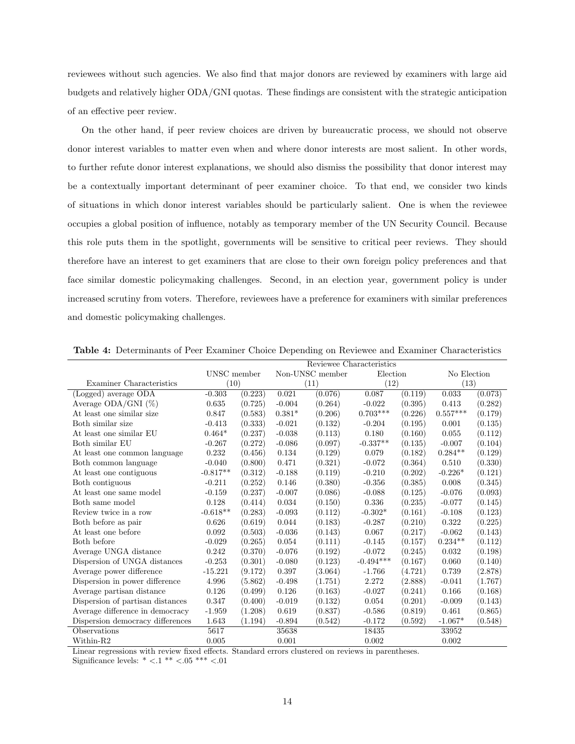reviewees without such agencies. We also find that major donors are reviewed by examiners with large aid budgets and relatively higher ODA/GNI quotas. These findings are consistent with the strategic anticipation of an effective peer review.

On the other hand, if peer review choices are driven by bureaucratic process, we should not observe donor interest variables to matter even when and where donor interests are most salient. In other words, to further refute donor interest explanations, we should also dismiss the possibility that donor interest may be a contextually important determinant of peer examiner choice. To that end, we consider two kinds of situations in which donor interest variables should be particularly salient. One is when the reviewee occupies a global position of influence, notably as temporary member of the UN Security Council. Because this role puts them in the spotlight, governments will be sensitive to critical peer reviews. They should therefore have an interest to get examiners that are close to their own foreign policy preferences and that face similar domestic policymaking challenges. Second, in an election year, government policy is under increased scrutiny from voters. Therefore, reviewees have a preference for examiners with similar preferences and domestic policymaking challenges.

|                                  | Reviewee Characteristics |         |          |                 |             |         |             |         |
|----------------------------------|--------------------------|---------|----------|-----------------|-------------|---------|-------------|---------|
|                                  | UNSC member              |         |          | Non-UNSC member | Election    |         | No Election |         |
| Examiner Characteristics         | (10)                     |         | (11)     |                 | (12)        |         | (13)        |         |
| (Logged) average ODA             | $-0.303$                 | (0.223) | 0.021    | (0.076)         | 0.087       | (0.119) | 0.033       | (0.073) |
| Average $ODA/GNI$ (%)            | 0.635                    | (0.725) | $-0.004$ | (0.264)         | $-0.022$    | (0.395) | 0.413       | (0.282) |
| At least one similar size        | 0.847                    | (0.583) | $0.381*$ | (0.206)         | $0.703***$  | (0.226) | $0.557***$  | (0.179) |
| Both similar size                | $-0.413$                 | (0.333) | $-0.021$ | (0.132)         | $-0.204$    | (0.195) | 0.001       | (0.135) |
| At least one similar EU          | $0.464*$                 | (0.237) | $-0.038$ | (0.113)         | 0.180       | (0.160) | 0.055       | (0.112) |
| Both similar EU                  | $-0.267$                 | (0.272) | $-0.086$ | (0.097)         | $-0.337**$  | (0.135) | $-0.007$    | (0.104) |
| At least one common language     | 0.232                    | (0.456) | 0.134    | (0.129)         | 0.079       | (0.182) | $0.284**$   | (0.129) |
| Both common language             | $-0.040$                 | (0.800) | 0.471    | (0.321)         | $-0.072$    | (0.364) | 0.510       | (0.330) |
| At least one contiguous          | $-0.817**$               | (0.312) | $-0.188$ | (0.119)         | $-0.210$    | (0.202) | $-0.226*$   | (0.121) |
| Both contiguous                  | $-0.211$                 | (0.252) | 0.146    | (0.380)         | $-0.356$    | (0.385) | 0.008       | (0.345) |
| At least one same model          | $-0.159$                 | (0.237) | $-0.007$ | (0.086)         | $-0.088$    | (0.125) | $-0.076$    | (0.093) |
| Both same model                  | 0.128                    | (0.414) | 0.034    | (0.150)         | 0.336       | (0.235) | $-0.077$    | (0.145) |
| Review twice in a row            | $-0.618**$               | (0.283) | $-0.093$ | (0.112)         | $-0.302*$   | (0.161) | $-0.108$    | (0.123) |
| Both before as pair              | 0.626                    | (0.619) | 0.044    | (0.183)         | $-0.287$    | (0.210) | 0.322       | (0.225) |
| At least one before              | 0.092                    | (0.503) | $-0.036$ | (0.143)         | 0.067       | (0.217) | $-0.062$    | (0.143) |
| Both before                      | $-0.029$                 | (0.265) | 0.054    | (0.111)         | $-0.145$    | (0.157) | $0.234**$   | (0.112) |
| Average UNGA distance            | 0.242                    | (0.370) | $-0.076$ | (0.192)         | $-0.072$    | (0.245) | 0.032       | (0.198) |
| Dispersion of UNGA distances     | $-0.253$                 | (0.301) | $-0.080$ | (0.123)         | $-0.494***$ | (0.167) | 0.060       | (0.140) |
| Average power difference         | $-15.221$                | (9.172) | 0.397    | (3.064)         | $-1.766$    | (4.721) | 0.739       | (2.878) |
| Dispersion in power difference   | 4.996                    | (5.862) | $-0.498$ | (1.751)         | 2.272       | (2.888) | $-0.041$    | (1.767) |
| Average partisan distance        | 0.126                    | (0.499) | 0.126    | (0.163)         | $-0.027$    | (0.241) | 0.166       | (0.168) |
| Dispersion of partisan distances | 0.347                    | (0.400) | $-0.019$ | (0.132)         | 0.054       | (0.201) | $-0.009$    | (0.143) |
| Average difference in democracy  | $-1.959$                 | (1.208) | 0.619    | (0.837)         | $-0.586$    | (0.819) | 0.461       | (0.865) |
| Dispersion democracy differences | 1.643                    | (1.194) | $-0.894$ | (0.542)         | $-0.172$    | (0.592) | $-1.067*$   | (0.548) |
| Observations                     | 5617                     |         | 35638    |                 | 18435       |         | 33952       |         |
| Within-R2                        | 0.005                    |         | 0.001    |                 | 0.002       |         | 0.002       |         |

<span id="page-13-0"></span>Table 4: Determinants of Peer Examiner Choice Depending on Reviewee and Examiner Characteristics

Linear regressions with review fixed effects. Standard errors clustered on reviews in parentheses.

Significance levels:  $* < 0.1 ** < 0.05 *** < 0.01$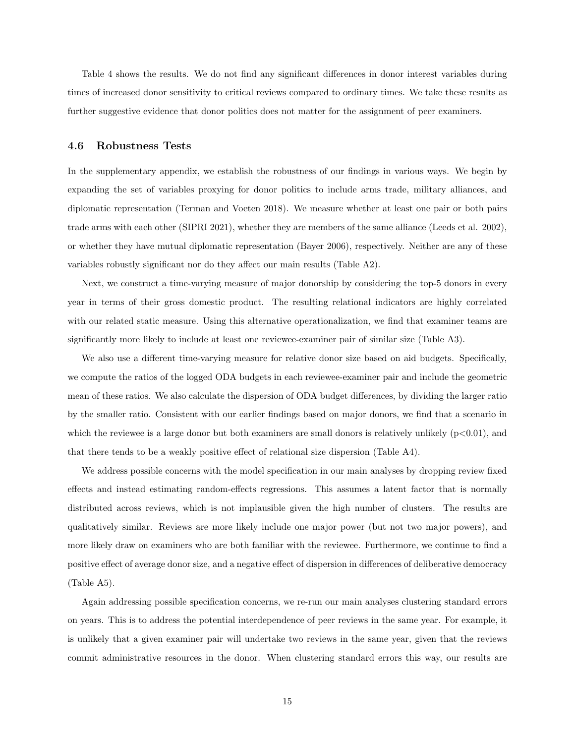Table [4](#page-13-0) shows the results. We do not find any significant differences in donor interest variables during times of increased donor sensitivity to critical reviews compared to ordinary times. We take these results as further suggestive evidence that donor politics does not matter for the assignment of peer examiners.

#### 4.6 Robustness Tests

In the supplementary appendix, we establish the robustness of our findings in various ways. We begin by expanding the set of variables proxying for donor politics to include arms trade, military alliances, and diplomatic representation (Terman and Voeten 2018). We measure whether at least one pair or both pairs trade arms with each other (SIPRI 2021), whether they are members of the same alliance (Leeds et al. 2002), or whether they have mutual diplomatic representation (Bayer 2006), respectively. Neither are any of these variables robustly significant nor do they affect our main results (Table [A2\)](#page-31-0).

Next, we construct a time-varying measure of major donorship by considering the top-5 donors in every year in terms of their gross domestic product. The resulting relational indicators are highly correlated with our related static measure. Using this alternative operationalization, we find that examiner teams are significantly more likely to include at least one reviewee-examiner pair of similar size (Table [A3\)](#page-31-1).

We also use a different time-varying measure for relative donor size based on aid budgets. Specifically, we compute the ratios of the logged ODA budgets in each reviewee-examiner pair and include the geometric mean of these ratios. We also calculate the dispersion of ODA budget differences, by dividing the larger ratio by the smaller ratio. Consistent with our earlier findings based on major donors, we find that a scenario in which the reviewee is a large donor but both examiners are small donors is relatively unlikely  $(p<0.01)$ , and that there tends to be a weakly positive effect of relational size dispersion (Table [A4\)](#page-32-0).

We address possible concerns with the model specification in our main analyses by dropping review fixed effects and instead estimating random-effects regressions. This assumes a latent factor that is normally distributed across reviews, which is not implausible given the high number of clusters. The results are qualitatively similar. Reviews are more likely include one major power (but not two major powers), and more likely draw on examiners who are both familiar with the reviewee. Furthermore, we continue to find a positive effect of average donor size, and a negative effect of dispersion in differences of deliberative democracy (Table [A5\)](#page-32-1).

Again addressing possible specification concerns, we re-run our main analyses clustering standard errors on years. This is to address the potential interdependence of peer reviews in the same year. For example, it is unlikely that a given examiner pair will undertake two reviews in the same year, given that the reviews commit administrative resources in the donor. When clustering standard errors this way, our results are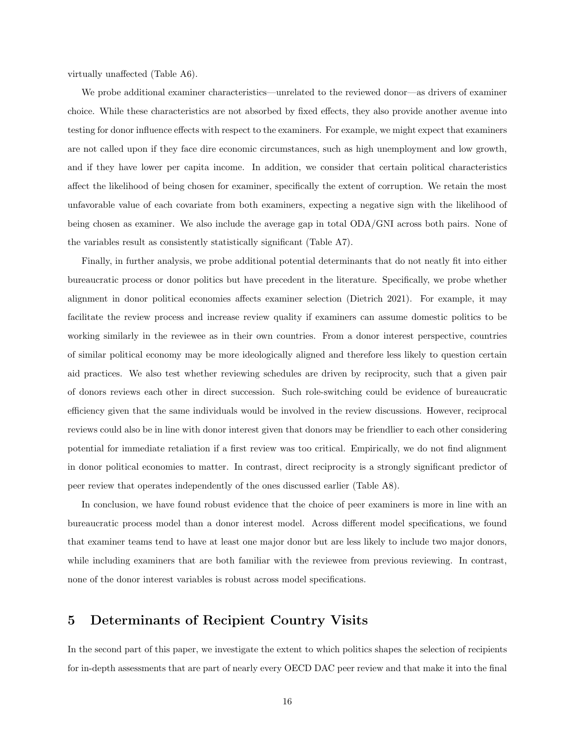virtually unaffected (Table [A6\)](#page-33-0).

We probe additional examiner characteristics—unrelated to the reviewed donor—as drivers of examiner choice. While these characteristics are not absorbed by fixed effects, they also provide another avenue into testing for donor influence effects with respect to the examiners. For example, we might expect that examiners are not called upon if they face dire economic circumstances, such as high unemployment and low growth, and if they have lower per capita income. In addition, we consider that certain political characteristics affect the likelihood of being chosen for examiner, specifically the extent of corruption. We retain the most unfavorable value of each covariate from both examiners, expecting a negative sign with the likelihood of being chosen as examiner. We also include the average gap in total ODA/GNI across both pairs. None of the variables result as consistently statistically significant (Table [A7\)](#page-33-1).

Finally, in further analysis, we probe additional potential determinants that do not neatly fit into either bureaucratic process or donor politics but have precedent in the literature. Specifically, we probe whether alignment in donor political economies affects examiner selection (Dietrich 2021). For example, it may facilitate the review process and increase review quality if examiners can assume domestic politics to be working similarly in the reviewee as in their own countries. From a donor interest perspective, countries of similar political economy may be more ideologically aligned and therefore less likely to question certain aid practices. We also test whether reviewing schedules are driven by reciprocity, such that a given pair of donors reviews each other in direct succession. Such role-switching could be evidence of bureaucratic efficiency given that the same individuals would be involved in the review discussions. However, reciprocal reviews could also be in line with donor interest given that donors may be friendlier to each other considering potential for immediate retaliation if a first review was too critical. Empirically, we do not find alignment in donor political economies to matter. In contrast, direct reciprocity is a strongly significant predictor of peer review that operates independently of the ones discussed earlier (Table [A8\)](#page-34-0).

In conclusion, we have found robust evidence that the choice of peer examiners is more in line with an bureaucratic process model than a donor interest model. Across different model specifications, we found that examiner teams tend to have at least one major donor but are less likely to include two major donors, while including examiners that are both familiar with the reviewee from previous reviewing. In contrast, none of the donor interest variables is robust across model specifications.

## 5 Determinants of Recipient Country Visits

In the second part of this paper, we investigate the extent to which politics shapes the selection of recipients for in-depth assessments that are part of nearly every OECD DAC peer review and that make it into the final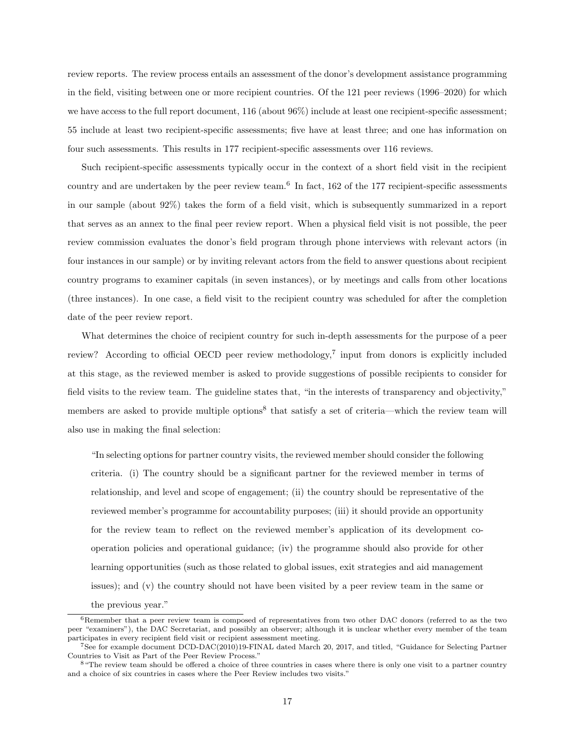review reports. The review process entails an assessment of the donor's development assistance programming in the field, visiting between one or more recipient countries. Of the 121 peer reviews (1996–2020) for which we have access to the full report document, 116 (about 96%) include at least one recipient-specific assessment; 55 include at least two recipient-specific assessments; five have at least three; and one has information on four such assessments. This results in 177 recipient-specific assessments over 116 reviews.

Such recipient-specific assessments typically occur in the context of a short field visit in the recipient country and are undertaken by the peer review team.[6](#page-16-0) In fact, 162 of the 177 recipient-specific assessments in our sample (about 92%) takes the form of a field visit, which is subsequently summarized in a report that serves as an annex to the final peer review report. When a physical field visit is not possible, the peer review commission evaluates the donor's field program through phone interviews with relevant actors (in four instances in our sample) or by inviting relevant actors from the field to answer questions about recipient country programs to examiner capitals (in seven instances), or by meetings and calls from other locations (three instances). In one case, a field visit to the recipient country was scheduled for after the completion date of the peer review report.

What determines the choice of recipient country for such in-depth assessments for the purpose of a peer review? According to official OECD peer review methodology,<sup>[7](#page-16-1)</sup> input from donors is explicitly included at this stage, as the reviewed member is asked to provide suggestions of possible recipients to consider for field visits to the review team. The guideline states that, "in the interests of transparency and objectivity," members are asked to provide multiple options<sup>[8](#page-16-2)</sup> that satisfy a set of criteria—which the review team will also use in making the final selection:

"In selecting options for partner country visits, the reviewed member should consider the following criteria. (i) The country should be a significant partner for the reviewed member in terms of relationship, and level and scope of engagement; (ii) the country should be representative of the reviewed member's programme for accountability purposes; (iii) it should provide an opportunity for the review team to reflect on the reviewed member's application of its development cooperation policies and operational guidance; (iv) the programme should also provide for other learning opportunities (such as those related to global issues, exit strategies and aid management issues); and (v) the country should not have been visited by a peer review team in the same or the previous year."

<span id="page-16-0"></span><sup>&</sup>lt;sup>6</sup>Remember that a peer review team is composed of representatives from two other DAC donors (referred to as the two peer "examiners"), the DAC Secretariat, and possibly an observer; although it is unclear whether every member of the team participates in every recipient field visit or recipient assessment meeting.

<span id="page-16-1"></span><sup>7</sup>See for example document DCD-DAC(2010)19-FINAL dated March 20, 2017, and titled, "Guidance for Selecting Partner Countries to Visit as Part of the Peer Review Process."

<span id="page-16-2"></span><sup>&</sup>lt;sup>8</sup> "The review team should be offered a choice of three countries in cases where there is only one visit to a partner country and a choice of six countries in cases where the Peer Review includes two visits."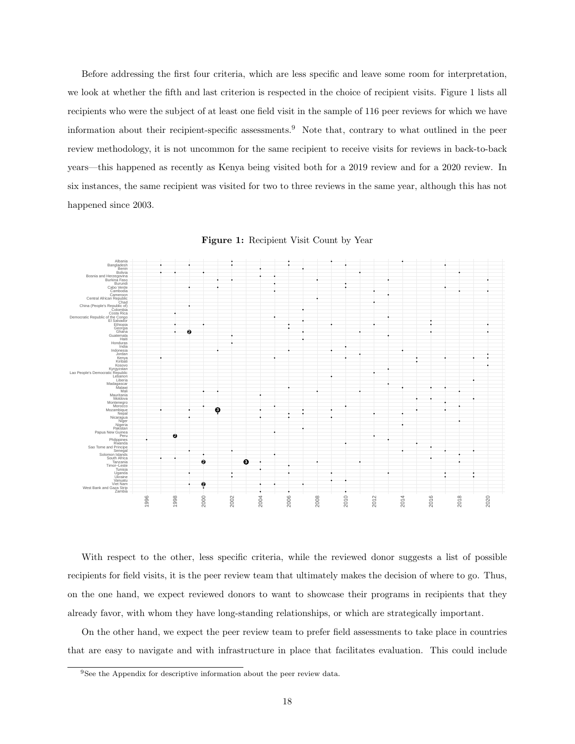Before addressing the first four criteria, which are less specific and leave some room for interpretation, we look at whether the fifth and last criterion is respected in the choice of recipient visits. Figure [1](#page-17-0) lists all recipients who were the subject of at least one field visit in the sample of 116 peer reviews for which we have information about their recipient-specific assessments.[9](#page-17-1) Note that, contrary to what outlined in the peer review methodology, it is not uncommon for the same recipient to receive visits for reviews in back-to-back years—this happened as recently as Kenya being visited both for a 2019 review and for a 2020 review. In six instances, the same recipient was visited for two to three reviews in the same year, although this has not happened since 2003.

<span id="page-17-0"></span>

Figure 1: Recipient Visit Count by Year

With respect to the other, less specific criteria, while the reviewed donor suggests a list of possible recipients for field visits, it is the peer review team that ultimately makes the decision of where to go. Thus, on the one hand, we expect reviewed donors to want to showcase their programs in recipients that they already favor, with whom they have long-standing relationships, or which are strategically important.

On the other hand, we expect the peer review team to prefer field assessments to take place in countries that are easy to navigate and with infrastructure in place that facilitates evaluation. This could include

<span id="page-17-1"></span><sup>&</sup>lt;sup>9</sup>See the Appendix for descriptive information about the peer review data.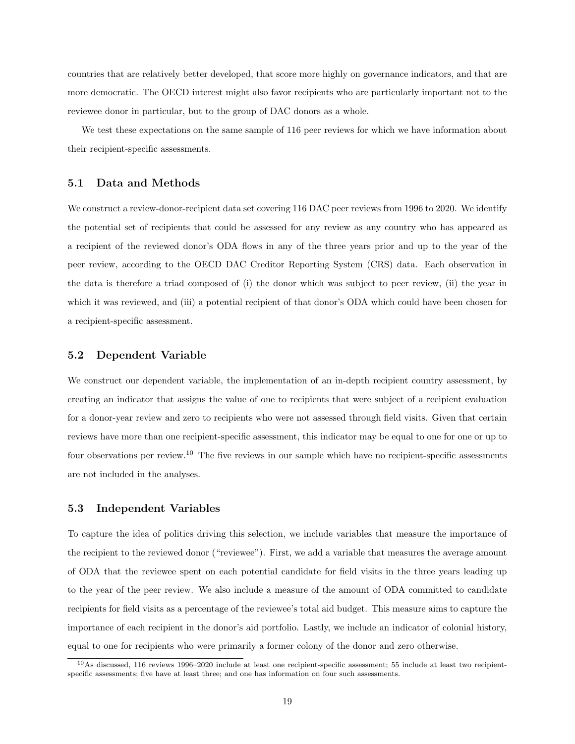countries that are relatively better developed, that score more highly on governance indicators, and that are more democratic. The OECD interest might also favor recipients who are particularly important not to the reviewee donor in particular, but to the group of DAC donors as a whole.

We test these expectations on the same sample of  $116$  peer reviews for which we have information about their recipient-specific assessments.

### 5.1 Data and Methods

We construct a review-donor-recipient data set covering 116 DAC peer reviews from 1996 to 2020. We identify the potential set of recipients that could be assessed for any review as any country who has appeared as a recipient of the reviewed donor's ODA flows in any of the three years prior and up to the year of the peer review, according to the OECD DAC Creditor Reporting System (CRS) data. Each observation in the data is therefore a triad composed of (i) the donor which was subject to peer review, (ii) the year in which it was reviewed, and (iii) a potential recipient of that donor's ODA which could have been chosen for a recipient-specific assessment.

#### 5.2 Dependent Variable

We construct our dependent variable, the implementation of an in-depth recipient country assessment, by creating an indicator that assigns the value of one to recipients that were subject of a recipient evaluation for a donor-year review and zero to recipients who were not assessed through field visits. Given that certain reviews have more than one recipient-specific assessment, this indicator may be equal to one for one or up to four observations per review.[10](#page-18-0) The five reviews in our sample which have no recipient-specific assessments are not included in the analyses.

### 5.3 Independent Variables

To capture the idea of politics driving this selection, we include variables that measure the importance of the recipient to the reviewed donor ("reviewee"). First, we add a variable that measures the average amount of ODA that the reviewee spent on each potential candidate for field visits in the three years leading up to the year of the peer review. We also include a measure of the amount of ODA committed to candidate recipients for field visits as a percentage of the reviewee's total aid budget. This measure aims to capture the importance of each recipient in the donor's aid portfolio. Lastly, we include an indicator of colonial history, equal to one for recipients who were primarily a former colony of the donor and zero otherwise.

<span id="page-18-0"></span> $10$ As discussed, 116 reviews 1996–2020 include at least one recipient-specific assessment; 55 include at least two recipientspecific assessments; five have at least three; and one has information on four such assessments.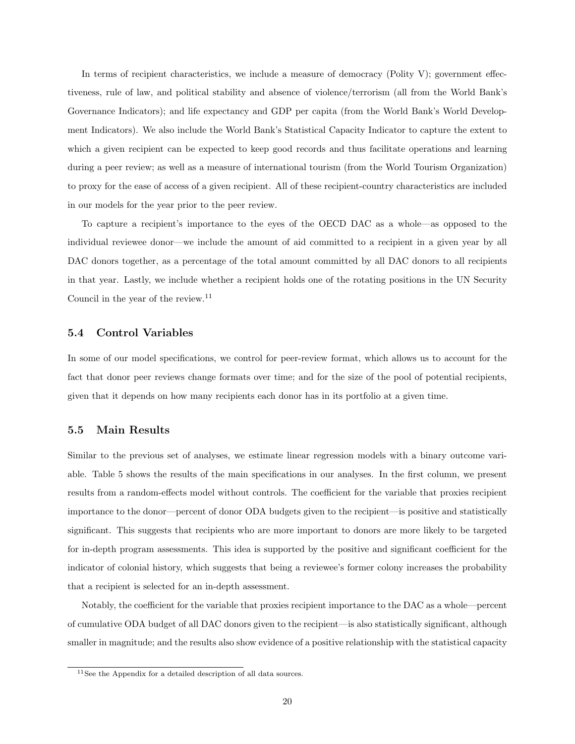In terms of recipient characteristics, we include a measure of democracy (Polity V); government effectiveness, rule of law, and political stability and absence of violence/terrorism (all from the World Bank's Governance Indicators); and life expectancy and GDP per capita (from the World Bank's World Development Indicators). We also include the World Bank's Statistical Capacity Indicator to capture the extent to which a given recipient can be expected to keep good records and thus facilitate operations and learning during a peer review; as well as a measure of international tourism (from the World Tourism Organization) to proxy for the ease of access of a given recipient. All of these recipient-country characteristics are included in our models for the year prior to the peer review.

To capture a recipient's importance to the eyes of the OECD DAC as a whole—as opposed to the individual reviewee donor—we include the amount of aid committed to a recipient in a given year by all DAC donors together, as a percentage of the total amount committed by all DAC donors to all recipients in that year. Lastly, we include whether a recipient holds one of the rotating positions in the UN Security Council in the year of the review.<sup>[11](#page-19-0)</sup>

### 5.4 Control Variables

In some of our model specifications, we control for peer-review format, which allows us to account for the fact that donor peer reviews change formats over time; and for the size of the pool of potential recipients, given that it depends on how many recipients each donor has in its portfolio at a given time.

### 5.5 Main Results

Similar to the previous set of analyses, we estimate linear regression models with a binary outcome variable. Table [5](#page-20-0) shows the results of the main specifications in our analyses. In the first column, we present results from a random-effects model without controls. The coefficient for the variable that proxies recipient importance to the donor—percent of donor ODA budgets given to the recipient—is positive and statistically significant. This suggests that recipients who are more important to donors are more likely to be targeted for in-depth program assessments. This idea is supported by the positive and significant coefficient for the indicator of colonial history, which suggests that being a reviewee's former colony increases the probability that a recipient is selected for an in-depth assessment.

Notably, the coefficient for the variable that proxies recipient importance to the DAC as a whole—percent of cumulative ODA budget of all DAC donors given to the recipient—is also statistically significant, although smaller in magnitude; and the results also show evidence of a positive relationship with the statistical capacity

<span id="page-19-0"></span><sup>11</sup>See the Appendix for a detailed description of all data sources.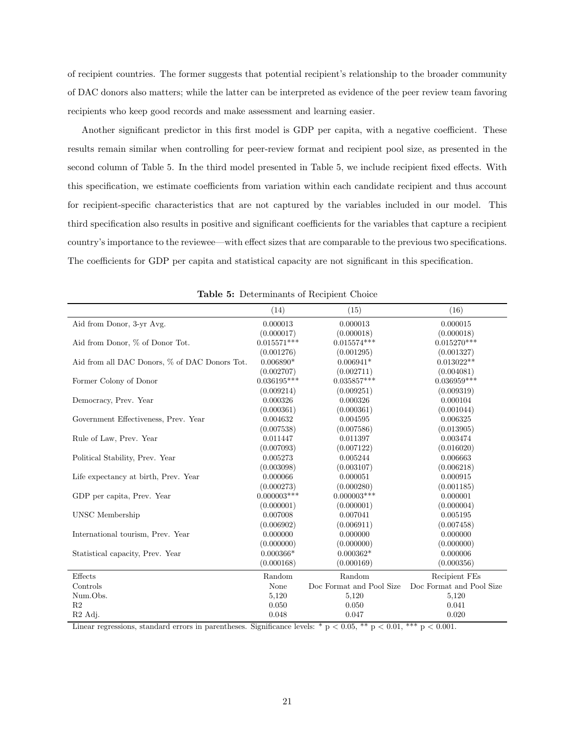of recipient countries. The former suggests that potential recipient's relationship to the broader community of DAC donors also matters; while the latter can be interpreted as evidence of the peer review team favoring recipients who keep good records and make assessment and learning easier.

Another significant predictor in this first model is GDP per capita, with a negative coefficient. These results remain similar when controlling for peer-review format and recipient pool size, as presented in the second column of Table [5.](#page-20-0) In the third model presented in Table [5,](#page-20-0) we include recipient fixed effects. With this specification, we estimate coefficients from variation within each candidate recipient and thus account for recipient-specific characteristics that are not captured by the variables included in our model. This third specification also results in positive and significant coefficients for the variables that capture a recipient country's importance to the reviewee—with effect sizes that are comparable to the previous two specifications. The coefficients for GDP per capita and statistical capacity are not significant in this specification.

<span id="page-20-0"></span>

|                                               | (14)          | (15)                     | (16)                     |
|-----------------------------------------------|---------------|--------------------------|--------------------------|
| Aid from Donor, 3-yr Avg.                     | 0.000013      | 0.000013                 | 0.000015                 |
|                                               | (0.000017)    | (0.000018)               | (0.000018)               |
| Aid from Donor, % of Donor Tot.               | $0.015571***$ | $0.015574***$            | $0.015270***$            |
|                                               | (0.001276)    | (0.001295)               | (0.001327)               |
| Aid from all DAC Donors, % of DAC Donors Tot. | $0.006890*$   | $0.006941*$              | $0.013022**$             |
|                                               | (0.002707)    | (0.002711)               | (0.004081)               |
| Former Colony of Donor                        | $0.036195***$ | $0.035857***$            | $0.036959***$            |
|                                               | (0.009214)    | (0.009251)               | (0.009319)               |
| Democracy, Prev. Year                         | 0.000326      | 0.000326                 | 0.000104                 |
|                                               | (0.000361)    | (0.000361)               | (0.001044)               |
| Government Effectiveness, Prev. Year          | 0.004632      | 0.004595                 | 0.006325                 |
|                                               | (0.007538)    | (0.007586)               | (0.013905)               |
| Rule of Law, Prev. Year                       | 0.011447      | 0.011397                 | 0.003474                 |
|                                               | (0.007093)    | (0.007122)               | (0.016020)               |
| Political Stability, Prev. Year               | 0.005273      | 0.005244                 | 0.006663                 |
|                                               | (0.003098)    | (0.003107)               | (0.006218)               |
| Life expectancy at birth, Prev. Year          | 0.000066      | 0.000051                 | 0.000915                 |
|                                               | (0.000273)    | (0.000280)               | (0.001185)               |
| GDP per capita, Prev. Year                    | $0.000003***$ | $0.000003$ ***           | 0.000001                 |
|                                               | (0.000001)    | (0.000001)               | (0.000004)               |
| <b>UNSC</b> Membership                        | 0.007008      | 0.007041                 | 0.005195                 |
|                                               | (0.006902)    | (0.006911)               | (0.007458)               |
| International tourism, Prev. Year             | 0.000000      | 0.000000                 | 0.000000                 |
|                                               | (0.000000)    | (0.000000)               | (0.000000)               |
| Statistical capacity, Prev. Year              | $0.000366*$   | $0.000362*$              | 0.000006                 |
|                                               | (0.000168)    | (0.000169)               | (0.000356)               |
| Effects                                       | Random        | Random                   | Recipient FEs            |
| Controls                                      | None          | Doc Format and Pool Size | Doc Format and Pool Size |
| Num.Obs.                                      | 5,120         | 5,120                    | 5,120                    |
| R <sub>2</sub>                                | 0.050         | 0.050                    | 0.041                    |
| R <sub>2</sub> Adj.                           | 0.048         | 0.047                    | 0.020                    |

Table 5: Determinants of Recipient Choice

Linear regressions, standard errors in parentheses. Significance levels: \* p < 0.05, \*\* p < 0.01, \*\*\* p < 0.001.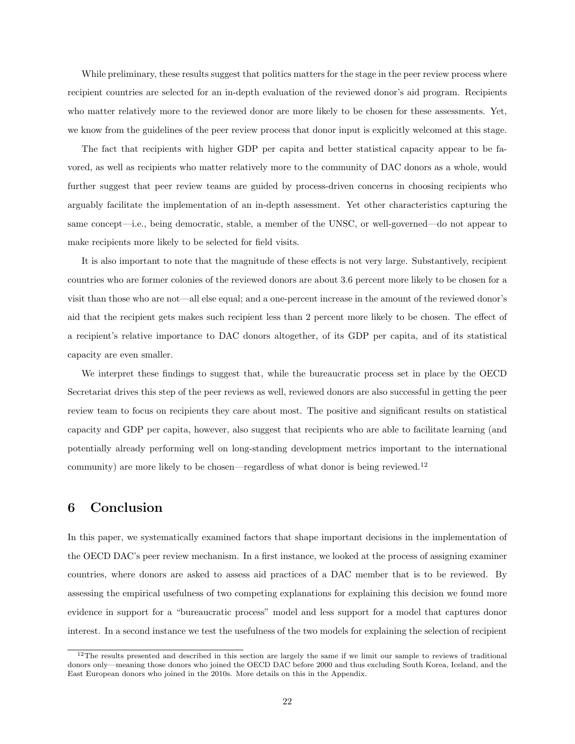While preliminary, these results suggest that politics matters for the stage in the peer review process where recipient countries are selected for an in-depth evaluation of the reviewed donor's aid program. Recipients who matter relatively more to the reviewed donor are more likely to be chosen for these assessments. Yet, we know from the guidelines of the peer review process that donor input is explicitly welcomed at this stage.

The fact that recipients with higher GDP per capita and better statistical capacity appear to be favored, as well as recipients who matter relatively more to the community of DAC donors as a whole, would further suggest that peer review teams are guided by process-driven concerns in choosing recipients who arguably facilitate the implementation of an in-depth assessment. Yet other characteristics capturing the same concept—i.e., being democratic, stable, a member of the UNSC, or well-governed—do not appear to make recipients more likely to be selected for field visits.

It is also important to note that the magnitude of these effects is not very large. Substantively, recipient countries who are former colonies of the reviewed donors are about 3.6 percent more likely to be chosen for a visit than those who are not—all else equal; and a one-percent increase in the amount of the reviewed donor's aid that the recipient gets makes such recipient less than 2 percent more likely to be chosen. The effect of a recipient's relative importance to DAC donors altogether, of its GDP per capita, and of its statistical capacity are even smaller.

We interpret these findings to suggest that, while the bureaucratic process set in place by the OECD Secretariat drives this step of the peer reviews as well, reviewed donors are also successful in getting the peer review team to focus on recipients they care about most. The positive and significant results on statistical capacity and GDP per capita, however, also suggest that recipients who are able to facilitate learning (and potentially already performing well on long-standing development metrics important to the international community) are more likely to be chosen—regardless of what donor is being reviewed.<sup>[12](#page-21-0)</sup>

### 6 Conclusion

In this paper, we systematically examined factors that shape important decisions in the implementation of the OECD DAC's peer review mechanism. In a first instance, we looked at the process of assigning examiner countries, where donors are asked to assess aid practices of a DAC member that is to be reviewed. By assessing the empirical usefulness of two competing explanations for explaining this decision we found more evidence in support for a "bureaucratic process" model and less support for a model that captures donor interest. In a second instance we test the usefulness of the two models for explaining the selection of recipient

<span id="page-21-0"></span> $12$ The results presented and described in this section are largely the same if we limit our sample to reviews of traditional donors only—meaning those donors who joined the OECD DAC before 2000 and thus excluding South Korea, Iceland, and the East European donors who joined in the 2010s. More details on this in the Appendix.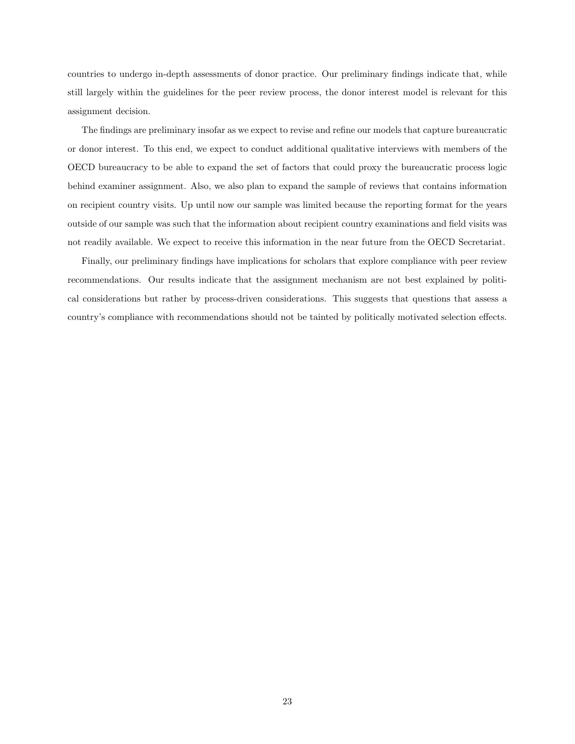countries to undergo in-depth assessments of donor practice. Our preliminary findings indicate that, while still largely within the guidelines for the peer review process, the donor interest model is relevant for this assignment decision.

The findings are preliminary insofar as we expect to revise and refine our models that capture bureaucratic or donor interest. To this end, we expect to conduct additional qualitative interviews with members of the OECD bureaucracy to be able to expand the set of factors that could proxy the bureaucratic process logic behind examiner assignment. Also, we also plan to expand the sample of reviews that contains information on recipient country visits. Up until now our sample was limited because the reporting format for the years outside of our sample was such that the information about recipient country examinations and field visits was not readily available. We expect to receive this information in the near future from the OECD Secretariat.

Finally, our preliminary findings have implications for scholars that explore compliance with peer review recommendations. Our results indicate that the assignment mechanism are not best explained by political considerations but rather by process-driven considerations. This suggests that questions that assess a country's compliance with recommendations should not be tainted by politically motivated selection effects.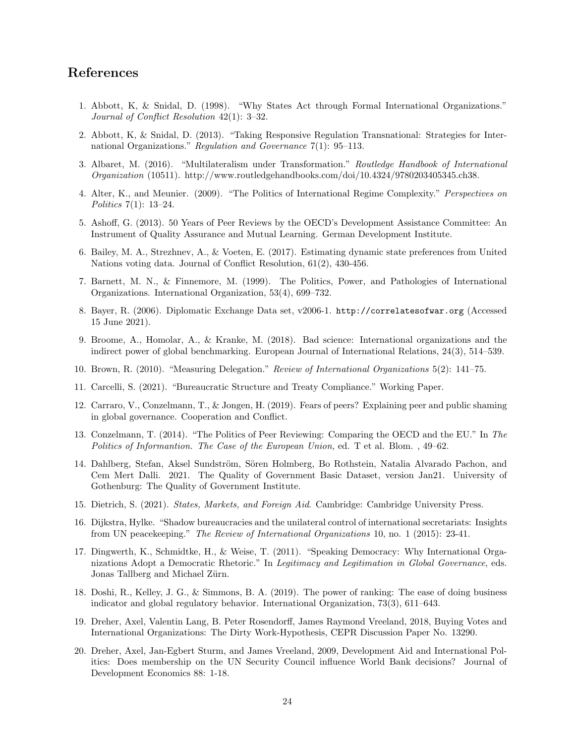### References

- 1. Abbott, K, & Snidal, D. (1998). "Why States Act through Formal International Organizations." Journal of Conflict Resolution 42(1): 3–32.
- 2. Abbott, K, & Snidal, D. (2013). "Taking Responsive Regulation Transnational: Strategies for International Organizations." Regulation and Governance 7(1): 95–113.
- 3. Albaret, M. (2016). "Multilateralism under Transformation." Routledge Handbook of International Organization (10511). http://www.routledgehandbooks.com/doi/10.4324/9780203405345.ch38.
- 4. Alter, K., and Meunier. (2009). "The Politics of International Regime Complexity." Perspectives on Politics 7(1): 13–24.
- 5. Ashoff, G. (2013). 50 Years of Peer Reviews by the OECD's Development Assistance Committee: An Instrument of Quality Assurance and Mutual Learning. German Development Institute.
- 6. Bailey, M. A., Strezhnev, A., & Voeten, E. (2017). Estimating dynamic state preferences from United Nations voting data. Journal of Conflict Resolution, 61(2), 430-456.
- 7. Barnett, M. N., & Finnemore, M. (1999). The Politics, Power, and Pathologies of International Organizations. International Organization, 53(4), 699–732.
- 8. Bayer, R. (2006). Diplomatic Exchange Data set, v2006-1. <http://correlatesofwar.org> (Accessed 15 June 2021).
- 9. Broome, A., Homolar, A., & Kranke, M. (2018). Bad science: International organizations and the indirect power of global benchmarking. European Journal of International Relations, 24(3), 514–539.
- 10. Brown, R. (2010). "Measuring Delegation." Review of International Organizations 5(2): 141–75.
- 11. Carcelli, S. (2021). "Bureaucratic Structure and Treaty Compliance." Working Paper.
- 12. Carraro, V., Conzelmann, T., & Jongen, H. (2019). Fears of peers? Explaining peer and public shaming in global governance. Cooperation and Conflict.
- 13. Conzelmann, T. (2014). "The Politics of Peer Reviewing: Comparing the OECD and the EU." In The Politics of Informantion. The Case of the European Union, ed. T et al. Blom. , 49–62.
- 14. Dahlberg, Stefan, Aksel Sundström, Sören Holmberg, Bo Rothstein, Natalia Alvarado Pachon, and Cem Mert Dalli. 2021. The Quality of Government Basic Dataset, version Jan21. University of Gothenburg: The Quality of Government Institute.
- 15. Dietrich, S. (2021). States, Markets, and Foreign Aid. Cambridge: Cambridge University Press.
- 16. Dijkstra, Hylke. "Shadow bureaucracies and the unilateral control of international secretariats: Insights from UN peacekeeping." The Review of International Organizations 10, no. 1 (2015): 23-41.
- 17. Dingwerth, K., Schmidtke, H., & Weise, T. (2011). "Speaking Democracy: Why International Organizations Adopt a Democratic Rhetoric." In Legitimacy and Legitimation in Global Governance, eds. Jonas Tallberg and Michael Zürn.
- 18. Doshi, R., Kelley, J. G., & Simmons, B. A. (2019). The power of ranking: The ease of doing business indicator and global regulatory behavior. International Organization, 73(3), 611–643.
- 19. Dreher, Axel, Valentin Lang, B. Peter Rosendorff, James Raymond Vreeland, 2018, Buying Votes and International Organizations: The Dirty Work-Hypothesis, CEPR Discussion Paper No. 13290.
- 20. Dreher, Axel, Jan-Egbert Sturm, and James Vreeland, 2009, Development Aid and International Politics: Does membership on the UN Security Council influence World Bank decisions? Journal of Development Economics 88: 1-18.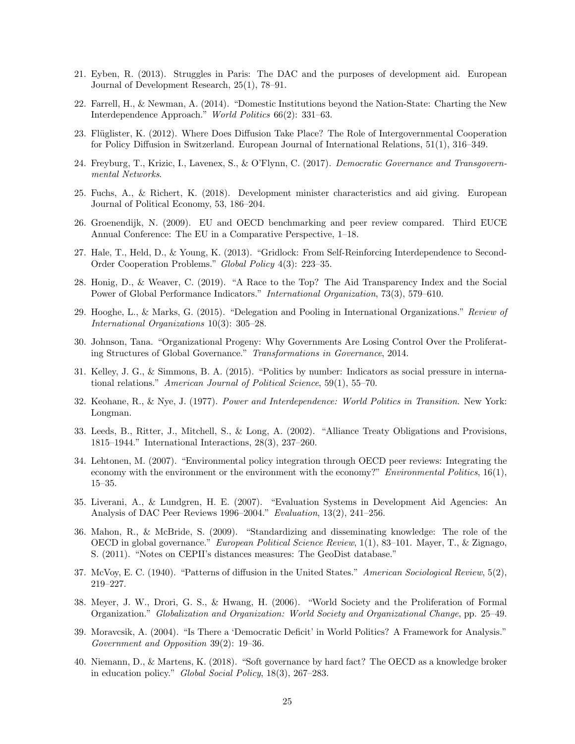- 21. Eyben, R. (2013). Struggles in Paris: The DAC and the purposes of development aid. European Journal of Development Research, 25(1), 78–91.
- 22. Farrell, H., & Newman, A. (2014). "Domestic Institutions beyond the Nation-State: Charting the New Interdependence Approach." World Politics 66(2): 331–63.
- 23. Flüglister, K. (2012). Where Does Diffusion Take Place? The Role of Intergovernmental Cooperation for Policy Diffusion in Switzerland. European Journal of International Relations, 51(1), 316–349.
- 24. Freyburg, T., Krizic, I., Lavenex, S., & O'Flynn, C. (2017). Democratic Governance and Transgovernmental Networks.
- 25. Fuchs, A., & Richert, K. (2018). Development minister characteristics and aid giving. European Journal of Political Economy, 53, 186–204.
- 26. Groenendijk, N. (2009). EU and OECD benchmarking and peer review compared. Third EUCE Annual Conference: The EU in a Comparative Perspective, 1–18.
- 27. Hale, T., Held, D., & Young, K. (2013). "Gridlock: From Self-Reinforcing Interdependence to Second-Order Cooperation Problems." Global Policy 4(3): 223–35.
- 28. Honig, D., & Weaver, C. (2019). "A Race to the Top? The Aid Transparency Index and the Social Power of Global Performance Indicators." International Organization, 73(3), 579–610.
- 29. Hooghe, L., & Marks, G. (2015). "Delegation and Pooling in International Organizations." Review of International Organizations 10(3): 305–28.
- 30. Johnson, Tana. "Organizational Progeny: Why Governments Are Losing Control Over the Proliferating Structures of Global Governance." Transformations in Governance, 2014.
- 31. Kelley, J. G., & Simmons, B. A. (2015). "Politics by number: Indicators as social pressure in international relations." American Journal of Political Science, 59(1), 55–70.
- 32. Keohane, R., & Nye, J. (1977). Power and Interdependence: World Politics in Transition. New York: Longman.
- 33. Leeds, B., Ritter, J., Mitchell, S., & Long, A. (2002). "Alliance Treaty Obligations and Provisions, 1815–1944." International Interactions, 28(3), 237–260.
- 34. Lehtonen, M. (2007). "Environmental policy integration through OECD peer reviews: Integrating the economy with the environment or the environment with the economy?" Environmental Politics, 16(1), 15–35.
- 35. Liverani, A., & Lundgren, H. E. (2007). "Evaluation Systems in Development Aid Agencies: An Analysis of DAC Peer Reviews 1996–2004." Evaluation, 13(2), 241–256.
- 36. Mahon, R., & McBride, S. (2009). "Standardizing and disseminating knowledge: The role of the OECD in global governance." European Political Science Review, 1(1), 83–101. Mayer, T., & Zignago, S. (2011). "Notes on CEPII's distances measures: The GeoDist database."
- 37. McVoy, E. C. (1940). "Patterns of diffusion in the United States." American Sociological Review, 5(2), 219–227.
- 38. Meyer, J. W., Drori, G. S., & Hwang, H. (2006). "World Society and the Proliferation of Formal Organization." Globalization and Organization: World Society and Organizational Change, pp. 25–49.
- 39. Moravcsik, A. (2004). "Is There a 'Democratic Deficit' in World Politics? A Framework for Analysis." Government and Opposition 39(2): 19–36.
- 40. Niemann, D., & Martens, K. (2018). "Soft governance by hard fact? The OECD as a knowledge broker in education policy." Global Social Policy, 18(3), 267–283.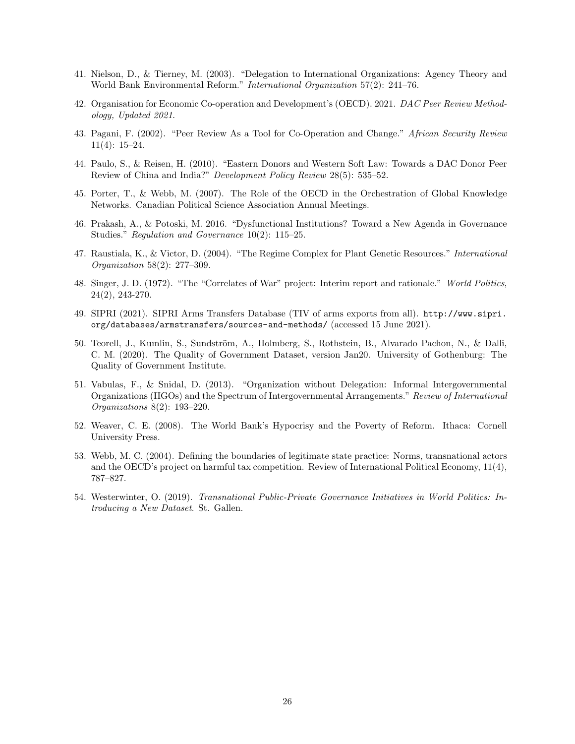- 41. Nielson, D., & Tierney, M. (2003). "Delegation to International Organizations: Agency Theory and World Bank Environmental Reform." International Organization 57(2): 241–76.
- 42. Organisation for Economic Co-operation and Development's (OECD). 2021. DAC Peer Review Methodology, Updated 2021.
- 43. Pagani, F. (2002). "Peer Review As a Tool for Co-Operation and Change." African Security Review 11(4): 15–24.
- 44. Paulo, S., & Reisen, H. (2010). "Eastern Donors and Western Soft Law: Towards a DAC Donor Peer Review of China and India?" Development Policy Review 28(5): 535–52.
- 45. Porter, T., & Webb, M. (2007). The Role of the OECD in the Orchestration of Global Knowledge Networks. Canadian Political Science Association Annual Meetings.
- 46. Prakash, A., & Potoski, M. 2016. "Dysfunctional Institutions? Toward a New Agenda in Governance Studies." Regulation and Governance 10(2): 115–25.
- 47. Raustiala, K., & Victor, D. (2004). "The Regime Complex for Plant Genetic Resources." International Organization 58(2): 277–309.
- 48. Singer, J. D. (1972). "The "Correlates of War" project: Interim report and rationale." World Politics, 24(2), 243-270.
- 49. SIPRI (2021). SIPRI Arms Transfers Database (TIV of arms exports from all). [http://www.sipri.](http://www.sipri.org/databases/armstransfers/sources-and-methods/) [org/databases/armstransfers/sources-and-methods/](http://www.sipri.org/databases/armstransfers/sources-and-methods/) (accessed 15 June 2021).
- 50. Teorell, J., Kumlin, S., Sundström, A., Holmberg, S., Rothstein, B., Alvarado Pachon, N., & Dalli, C. M. (2020). The Quality of Government Dataset, version Jan20. University of Gothenburg: The Quality of Government Institute.
- 51. Vabulas, F., & Snidal, D. (2013). "Organization without Delegation: Informal Intergovernmental Organizations (IIGOs) and the Spectrum of Intergovernmental Arrangements." Review of International Organizations 8(2): 193–220.
- 52. Weaver, C. E. (2008). The World Bank's Hypocrisy and the Poverty of Reform. Ithaca: Cornell University Press.
- 53. Webb, M. C. (2004). Defining the boundaries of legitimate state practice: Norms, transnational actors and the OECD's project on harmful tax competition. Review of International Political Economy, 11(4), 787–827.
- 54. Westerwinter, O. (2019). Transnational Public-Private Governance Initiatives in World Politics: Introducing a New Dataset. St. Gallen.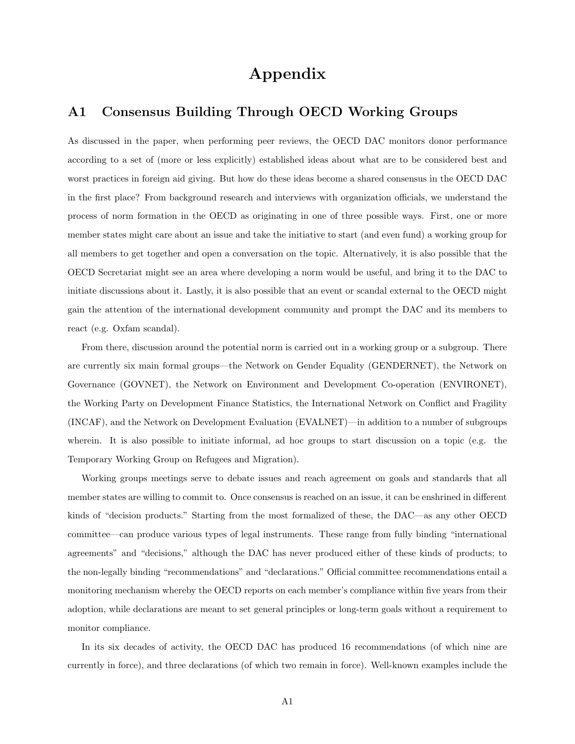# Appendix

## A1 Consensus Building Through OECD Working Groups

As discussed in the paper, when performing peer reviews, the OECD DAC monitors donor performance according to a set of (more or less explicitly) established ideas about what are to be considered best and worst practices in foreign aid giving. But how do these ideas become a shared consensus in the OECD DAC in the first place? From background research and interviews with organization officials, we understand the process of norm formation in the OECD as originating in one of three possible ways. First, one or more member states might care about an issue and take the initiative to start (and even fund) a working group for all members to get together and open a conversation on the topic. Alternatively, it is also possible that the OECD Secretariat might see an area where developing a norm would be useful, and bring it to the DAC to initiate discussions about it. Lastly, it is also possible that an event or scandal external to the OECD might gain the attention of the international development community and prompt the DAC and its members to react (e.g. Oxfam scandal).

From there, discussion around the potential norm is carried out in a working group or a subgroup. There are currently six main formal groups––the Network on Gender Equality (GENDERNET), the Network on Governance (GOVNET), the Network on Environment and Development Co-operation (ENVIRONET), the Working Party on Development Finance Statistics, the International Network on Conflict and Fragility (INCAF), and the Network on Development Evaluation (EVALNET)––in addition to a number of subgroups wherein. It is also possible to initiate informal, ad hoc groups to start discussion on a topic (e.g. the Temporary Working Group on Refugees and Migration).

Working groups meetings serve to debate issues and reach agreement on goals and standards that all member states are willing to commit to. Once consensus is reached on an issue, it can be enshrined in different kinds of "decision products." Starting from the most formalized of these, the DAC—as any other OECD committee––can produce various types of legal instruments. These range from fully binding "international agreements" and "decisions," although the DAC has never produced either of these kinds of products; to the non-legally binding "recommendations" and "declarations." Official committee recommendations entail a monitoring mechanism whereby the OECD reports on each member's compliance within five years from their adoption, while declarations are meant to set general principles or long-term goals without a requirement to monitor compliance.

In its six decades of activity, the OECD DAC has produced 16 recommendations (of which nine are currently in force), and three declarations (of which two remain in force). Well-known examples include the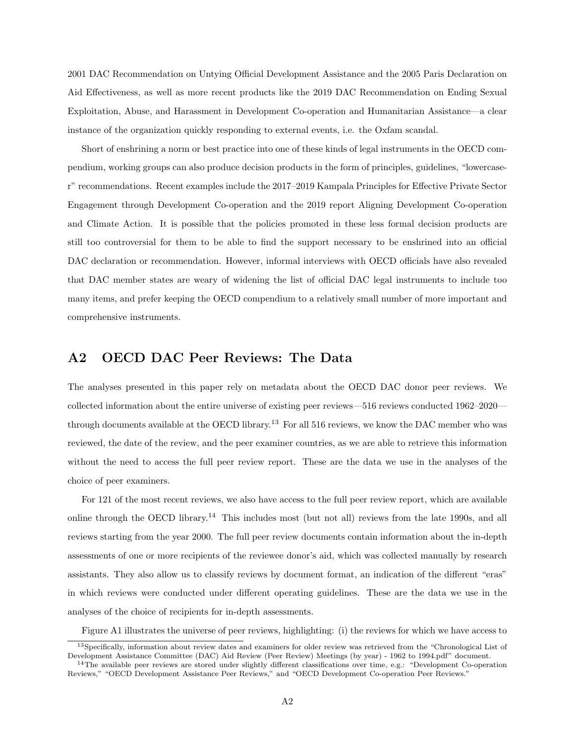2001 DAC Recommendation on Untying Official Development Assistance and the 2005 Paris Declaration on Aid Effectiveness, as well as more recent products like the 2019 DAC Recommendation on Ending Sexual Exploitation, Abuse, and Harassment in Development Co-operation and Humanitarian Assistance––a clear instance of the organization quickly responding to external events, i.e. the Oxfam scandal.

Short of enshrining a norm or best practice into one of these kinds of legal instruments in the OECD compendium, working groups can also produce decision products in the form of principles, guidelines, "lowercaser" recommendations. Recent examples include the 2017–2019 Kampala Principles for Effective Private Sector Engagement through Development Co-operation and the 2019 report Aligning Development Co-operation and Climate Action. It is possible that the policies promoted in these less formal decision products are still too controversial for them to be able to find the support necessary to be enshrined into an official DAC declaration or recommendation. However, informal interviews with OECD officials have also revealed that DAC member states are weary of widening the list of official DAC legal instruments to include too many items, and prefer keeping the OECD compendium to a relatively small number of more important and comprehensive instruments.

## A2 OECD DAC Peer Reviews: The Data

The analyses presented in this paper rely on metadata about the OECD DAC donor peer reviews. We collected information about the entire universe of existing peer reviews—516 reviews conducted 1962–2020— through documents available at the OECD library.<sup>[13](#page-27-0)</sup> For all 516 reviews, we know the DAC member who was reviewed, the date of the review, and the peer examiner countries, as we are able to retrieve this information without the need to access the full peer review report. These are the data we use in the analyses of the choice of peer examiners.

For 121 of the most recent reviews, we also have access to the full peer review report, which are available online through the OECD library.[14](#page-27-1) This includes most (but not all) reviews from the late 1990s, and all reviews starting from the year 2000. The full peer review documents contain information about the in-depth assessments of one or more recipients of the reviewee donor's aid, which was collected manually by research assistants. They also allow us to classify reviews by document format, an indication of the different "eras" in which reviews were conducted under different operating guidelines. These are the data we use in the analyses of the choice of recipients for in-depth assessments.

<span id="page-27-0"></span>Figure [A1](#page-28-0) illustrates the universe of peer reviews, highlighting: (i) the reviews for which we have access to

<sup>13</sup>Specifically, information about review dates and examiners for older review was retrieved from the "Chronological List of Development Assistance Committee (DAC) Aid Review (Peer Review) Meetings (by year) - 1962 to 1994.pdf" document.

<span id="page-27-1"></span> $14$ The available peer reviews are stored under slightly different classifications over time, e.g.: "Development Co-operation Reviews," "OECD Development Assistance Peer Reviews," and "OECD Development Co-operation Peer Reviews."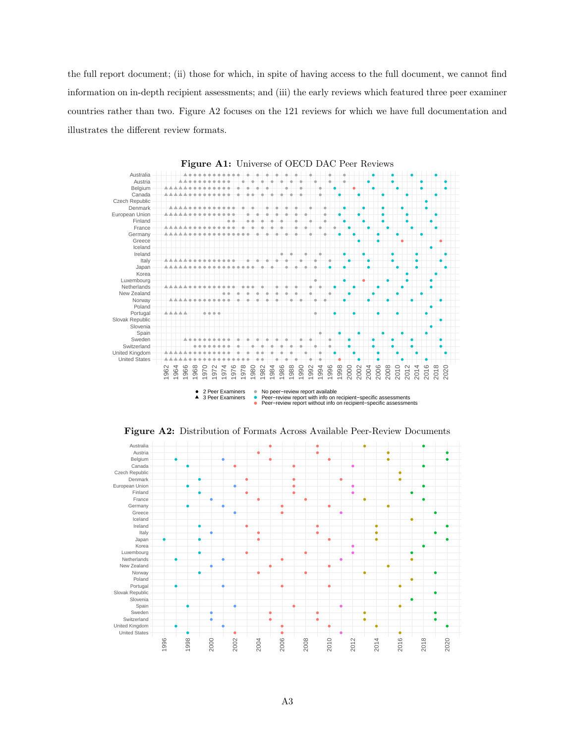the full report document; (ii) those for which, in spite of having access to the full document, we cannot find information on in-depth recipient assessments; and (iii) the early reviews which featured three peer examiner countries rather than two. Figure [A2](#page-28-0) focuses on the 121 reviews for which we have full documentation and illustrates the different review formats.

<span id="page-28-0"></span>





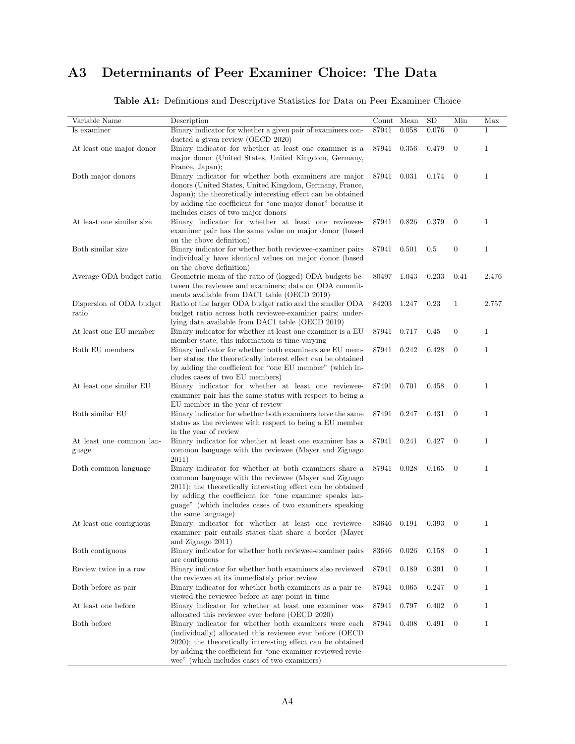# A3 Determinants of Peer Examiner Choice: The Data

<span id="page-29-0"></span>

| Variable Name             | Description                                                                                                                | Count | Mean  | SD    | Min              | Max          |
|---------------------------|----------------------------------------------------------------------------------------------------------------------------|-------|-------|-------|------------------|--------------|
| Is examiner               | Binary indicator for whether a given pair of examiners con-                                                                | 87941 | 0.058 | 0.076 | $\overline{0}$   | $\mathbf{1}$ |
|                           | ducted a given review (OECD 2020)                                                                                          |       |       |       |                  |              |
| At least one major donor  | Binary indicator for whether at least one examiner is a                                                                    | 87941 | 0.356 | 0.479 | $\boldsymbol{0}$ | $\mathbf{1}$ |
|                           | major donor (United States, United Kingdom, Germany,                                                                       |       |       |       |                  |              |
|                           | France, Japan);                                                                                                            |       |       |       |                  |              |
| Both major donors         | Binary indicator for whether both examiners are major                                                                      | 87941 | 0.031 | 0.174 | $\overline{0}$   | $\mathbf{1}$ |
|                           | donors (United States, United Kingdom, Germany, France,                                                                    |       |       |       |                  |              |
|                           | Japan); the theoretically interesting effect can be obtained<br>by adding the coefficient for "one major donor" because it |       |       |       |                  |              |
|                           | includes cases of two major donors                                                                                         |       |       |       |                  |              |
| At least one similar size | Binary indicator for whether at least one reviewee-                                                                        | 87941 | 0.826 | 0.379 | $\boldsymbol{0}$ | $\mathbf{1}$ |
|                           | examiner pair has the same value on major donor (based                                                                     |       |       |       |                  |              |
|                           | on the above definition)                                                                                                   |       |       |       |                  |              |
| Both similar size         | Binary indicator for whether both reviewee-examiner pairs                                                                  | 87941 | 0.501 | 0.5   | $\boldsymbol{0}$ | $\mathbf{1}$ |
|                           | individually have identical values on major donor (based                                                                   |       |       |       |                  |              |
|                           | on the above definition)                                                                                                   |       |       |       |                  |              |
| Average ODA budget ratio  | Geometric mean of the ratio of (logged) ODA budgets be-                                                                    | 80497 | 1.043 | 0.233 | 0.41             | 2.476        |
|                           | tween the reviewee and examiners; data on ODA commit-                                                                      |       |       |       |                  |              |
|                           | ments available from DAC1 table (OECD 2019)                                                                                |       |       |       |                  |              |
| Dispersion of ODA budget  | Ratio of the larger ODA budget ratio and the smaller ODA                                                                   | 84203 | 1.247 | 0.23  | $\mathbf{1}$     | 2.757        |
| ratio                     | budget ratio across both reviewee-examiner pairs; under-                                                                   |       |       |       |                  |              |
| At least one EU member    | lying data available from DAC1 table (OECD 2019)<br>Binary indicator for whether at least one examiner is a EU             | 87941 | 0.717 | 0.45  | $\boldsymbol{0}$ | $\mathbf{1}$ |
|                           | member state; this information is time-varying                                                                             |       |       |       |                  |              |
| Both EU members           | Binary indicator for whether both examiners are EU mem-                                                                    | 87941 | 0.242 | 0.428 | $\boldsymbol{0}$ | $\mathbf{1}$ |
|                           | ber states; the theoretically interest effect can be obtained                                                              |       |       |       |                  |              |
|                           | by adding the coefficient for "one EU member" (which in-                                                                   |       |       |       |                  |              |
|                           | cludes cases of two EU members)                                                                                            |       |       |       |                  |              |
| At least one similar EU   | Binary indicator for whether at least one reviewee-                                                                        | 87491 | 0.701 | 0.458 | $\overline{0}$   | $\mathbf{1}$ |
|                           | examiner pair has the same status with respect to being a                                                                  |       |       |       |                  |              |
|                           | EU member in the year of review                                                                                            |       |       |       |                  |              |
| Both similar EU           | Binary indicator for whether both examiners have the same                                                                  | 87491 | 0.247 | 0.431 | $\overline{0}$   | $\mathbf{1}$ |
|                           | status as the reviewee with respect to being a EU member                                                                   |       |       |       |                  |              |
|                           | in the year of review                                                                                                      |       |       |       |                  |              |
| At least one common lan-  | Binary indicator for whether at least one examiner has a<br>common language with the reviewee (Mayer and Zignago           | 87941 | 0.241 | 0.427 | $\boldsymbol{0}$ | $\mathbf{1}$ |
| guage                     | 2011)                                                                                                                      |       |       |       |                  |              |
| Both common language      | Binary indicator for whether at both examiners share a                                                                     | 87941 | 0.028 | 0.165 | $\overline{0}$   | $\mathbf{1}$ |
|                           | common language with the reviewee (Mayer and Zignago                                                                       |       |       |       |                  |              |
|                           | 2011); the theoretically interesting effect can be obtained                                                                |       |       |       |                  |              |
|                           | by adding the coefficient for "one examiner speaks lan-                                                                    |       |       |       |                  |              |
|                           | guage" (which includes cases of two examiners speaking                                                                     |       |       |       |                  |              |
|                           | the same language)                                                                                                         |       |       |       |                  |              |
| At least one contiguous   | Binary indicator for whether at least one reviewee-                                                                        | 83646 | 0.191 | 0.393 | $\theta$         | $\mathbf{1}$ |
|                           | examiner pair entails states that share a border (Mayer                                                                    |       |       |       |                  |              |
|                           | and Zignago 2011)                                                                                                          |       |       |       |                  |              |
| Both contiguous           | Binary indicator for whether both reviewee-examiner pairs                                                                  | 83646 | 0.026 | 0.158 | $\mathbf{0}$     | $\mathbf{1}$ |
|                           | are contiguous                                                                                                             |       |       |       |                  |              |
| Review twice in a row     | Binary indicator for whether both examiners also reviewed<br>the reviewee at its immediately prior review                  | 87941 | 0.189 | 0.391 | $\mathbf{0}$     | $\mathbf{1}$ |
| Both before as pair       | Binary indicator for whether both examiners as a pair re-                                                                  | 87941 | 0.065 | 0.247 | $\boldsymbol{0}$ | $\mathbf{1}$ |
|                           | viewed the reviewee before at any point in time                                                                            |       |       |       |                  |              |
| At least one before       | Binary indicator for whether at least one examiner was                                                                     | 87941 | 0.797 | 0.402 | $\overline{0}$   | $\mathbf{1}$ |
|                           | allocated this reviewee ever before (OECD 2020)                                                                            |       |       |       |                  |              |
| Both before               | Binary indicator for whether both examiners were each                                                                      | 87941 | 0.408 | 0.491 | $\boldsymbol{0}$ | $\mathbf{1}$ |
|                           | (individually) allocated this reviewee ever before (OECD                                                                   |       |       |       |                  |              |
|                           | 2020); the theoretically interesting effect can be obtained                                                                |       |       |       |                  |              |
|                           | by adding the coefficient for "one examiner reviewed revie-                                                                |       |       |       |                  |              |
|                           | wee" (which includes cases of two examiners)                                                                               |       |       |       |                  |              |

Table A1: Definitions and Descriptive Statistics for Data on Peer Examiner Choice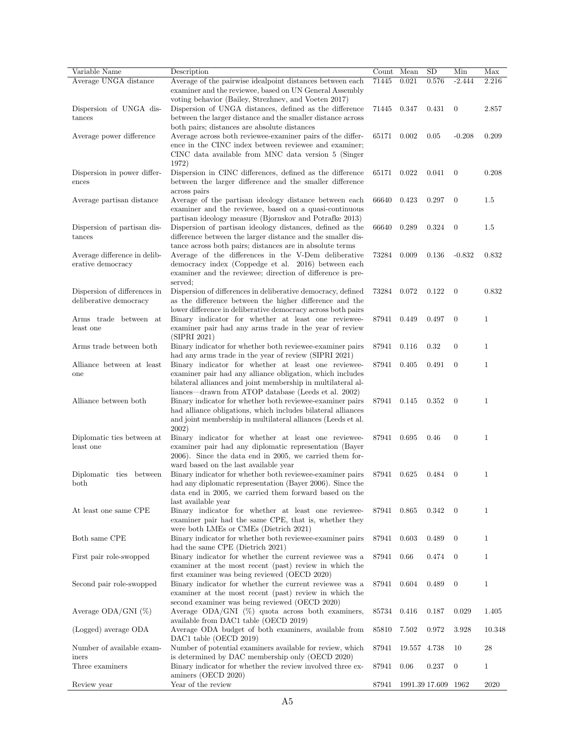| Variable Name                                     | Description                                                                                                          | Count Mean |              | SD             | Min              | Max          |
|---------------------------------------------------|----------------------------------------------------------------------------------------------------------------------|------------|--------------|----------------|------------------|--------------|
| Average UNGA distance                             | Average of the pairwise idealpoint distances between each<br>examiner and the reviewee, based on UN General Assembly | 71445      | 0.021        | 0.576          | $-2.444$         | 2.216        |
|                                                   | voting behavior (Bailey, Strezhnev, and Voeten 2017)                                                                 |            |              |                |                  |              |
| Dispersion of UNGA dis-                           | Dispersion of UNGA distances, defined as the difference                                                              | 71445      | 0.347        | 0.431          | $\boldsymbol{0}$ | 2.857        |
| tances                                            | between the larger distance and the smaller distance across                                                          |            |              |                |                  |              |
|                                                   | both pairs; distances are absolute distances                                                                         |            |              |                |                  |              |
| Average power difference                          | Average across both reviewee-examiner pairs of the differ-<br>ence in the CINC index between reviewee and examiner;  | 65171      | 0.002        | 0.05           | $-0.208$         | 0.209        |
|                                                   | CINC data available from MNC data version 5 (Singer                                                                  |            |              |                |                  |              |
|                                                   | 1972)                                                                                                                |            |              |                |                  |              |
| Dispersion in power differ-                       | Dispersion in CINC differences, defined as the difference                                                            | 65171      | 0.022        | 0.041          | $\overline{0}$   | 0.208        |
| ences                                             | between the larger difference and the smaller difference                                                             |            |              |                |                  |              |
|                                                   | across pairs                                                                                                         |            |              |                |                  |              |
| Average partisan distance                         | Average of the partisan ideology distance between each                                                               | 66640      | 0.423        | 0.297          | $\theta$         | 1.5          |
|                                                   | examiner and the reviewee, based on a quasi-continuous                                                               |            |              |                |                  |              |
|                                                   | partisan ideology measure (Bjornskov and Potrafke 2013)                                                              |            |              |                |                  |              |
| Dispersion of partisan dis-                       | Dispersion of partisan ideology distances, defined as the                                                            | 66640      | 0.289        | 0.324          | $\overline{0}$   | 1.5          |
| tances                                            | difference between the larger distance and the smaller dis-                                                          |            |              |                |                  |              |
|                                                   | tance across both pairs; distances are in absolute terms                                                             |            |              |                |                  | 0.832        |
| Average difference in delib-<br>erative democracy | Average of the differences in the V-Dem deliberative<br>democracy index (Coppedge et al. 2016) between each          | 73284      | 0.009        | 0.136          | $-0.832$         |              |
|                                                   | examiner and the reviewee; direction of difference is pre-                                                           |            |              |                |                  |              |
|                                                   | served;                                                                                                              |            |              |                |                  |              |
| Dispersion of differences in                      | Dispersion of differences in deliberative democracy, defined                                                         | 73284      | 0.072        | 0.122          | $\overline{0}$   | 0.832        |
| deliberative democracy                            | as the difference between the higher difference and the                                                              |            |              |                |                  |              |
|                                                   | lower difference in deliberative democracy across both pairs                                                         |            |              |                |                  |              |
| Arms trade between at                             | Binary indicator for whether at least one reviewee-                                                                  | 87941      | 0.449        | 0.497          | $\overline{0}$   | $\mathbf{1}$ |
| least one                                         | examiner pair had any arms trade in the year of review                                                               |            |              |                |                  |              |
|                                                   | (SIPRI 2021)                                                                                                         |            |              |                |                  |              |
| Arms trade between both                           | Binary indicator for whether both reviewee-examiner pairs                                                            | 87941      | 0.116        | 0.32           | $\boldsymbol{0}$ | 1            |
| Alliance between at least                         | had any arms trade in the year of review (SIPRI 2021)<br>Binary indicator for whether at least one reviewee-         | 87941      | 0.405        | 0.491          | $\overline{0}$   | $\mathbf{1}$ |
| one                                               | examiner pair had any alliance obligation, which includes                                                            |            |              |                |                  |              |
|                                                   | bilateral alliances and joint membership in multilateral al-                                                         |            |              |                |                  |              |
|                                                   | liances—drawn from ATOP database (Leeds et al. 2002)                                                                 |            |              |                |                  |              |
| Alliance between both                             | Binary indicator for whether both reviewee-examiner pairs                                                            | 87941      | 0.145        | 0.352          | $\overline{0}$   | $\mathbf{1}$ |
|                                                   | had alliance obligations, which includes bilateral alliances                                                         |            |              |                |                  |              |
|                                                   | and joint membership in multilateral alliances (Leeds et al.                                                         |            |              |                |                  |              |
|                                                   | 2002)                                                                                                                |            |              |                |                  |              |
| Diplomatic ties between at                        | Binary indicator for whether at least one reviewee-                                                                  | 87941      | 0.695        | 0.46           | $\boldsymbol{0}$ | $\mathbf{1}$ |
| least one                                         | examiner pair had any diplomatic representation (Bayer<br>$2006$ ). Since the data end in 2005, we carried them for- |            |              |                |                  |              |
|                                                   | ward based on the last available year                                                                                |            |              |                |                  |              |
| Diplomatic ties between                           | Binary indicator for whether both reviewee-examiner pairs                                                            | 87941      | 0.625        | 0.484          | $\overline{0}$   | $\mathbf{1}$ |
| $_{\text{both}}$                                  | had any diplomatic representation (Bayer 2006). Since the                                                            |            |              |                |                  |              |
|                                                   | data end in 2005, we carried them forward based on the                                                               |            |              |                |                  |              |
|                                                   | last available year                                                                                                  |            |              |                |                  |              |
| At least one same CPE                             | Binary indicator for whether at least one reviewee-                                                                  | 87941      | 0.865        | 0.342          | $\theta$         | $\mathbf{1}$ |
|                                                   | examiner pair had the same CPE, that is, whether they                                                                |            |              |                |                  |              |
|                                                   | were both LMEs or CMEs (Dietrich 2021)                                                                               |            |              |                |                  |              |
| Both same CPE                                     | Binary indicator for whether both reviewee-examiner pairs                                                            | 87941      | 0.603        | 0.489          | $\overline{0}$   | 1            |
| First pair role-swopped                           | had the same CPE (Dietrich 2021)<br>Binary indicator for whether the current reviewee was a                          | 87941      | 0.66         | 0.474          | $\boldsymbol{0}$ | $\mathbf 1$  |
|                                                   | examiner at the most recent (past) review in which the                                                               |            |              |                |                  |              |
|                                                   | first examiner was being reviewed (OECD 2020)                                                                        |            |              |                |                  |              |
| Second pair role-swopped                          | Binary indicator for whether the current reviewee was a                                                              | 87941      | 0.604        | 0.489          | $\overline{0}$   | $\mathbf{1}$ |
|                                                   | examiner at the most recent (past) review in which the                                                               |            |              |                |                  |              |
|                                                   | second examiner was being reviewed (OECD 2020)                                                                       |            |              |                |                  |              |
| Average ODA/GNI $(\%)$                            | Average $ODA/GNI$ (%) quota across both examiners,                                                                   | 85734      | 0.416        | 0.187          | 0.029            | 1.405        |
|                                                   | available from DAC1 table (OECD 2019)                                                                                |            |              |                |                  |              |
| (Logged) average ODA                              | Average ODA budget of both examiners, available from                                                                 | 85810      | 7.502        | 0.972          | 3.928            | 10.348       |
| Number of available exam-                         | DAC1 table (OECD 2019)<br>Number of potential examiners available for review, which                                  | 87941      | 19.557 4.738 |                | 10               | 28           |
| iners                                             | is determined by DAC membership only (OECD 2020)                                                                     |            |              |                |                  |              |
| Three examiners                                   | Binary indicator for whether the review involved three ex-                                                           | 87941      | 0.06         | 0.237          | $\overline{0}$   | $\mathbf 1$  |
|                                                   | aminers (OECD 2020)                                                                                                  |            |              |                |                  |              |
| Review year                                       | Year of the review                                                                                                   | 87941      |              | 1991.39 17.609 | 1962             | 2020         |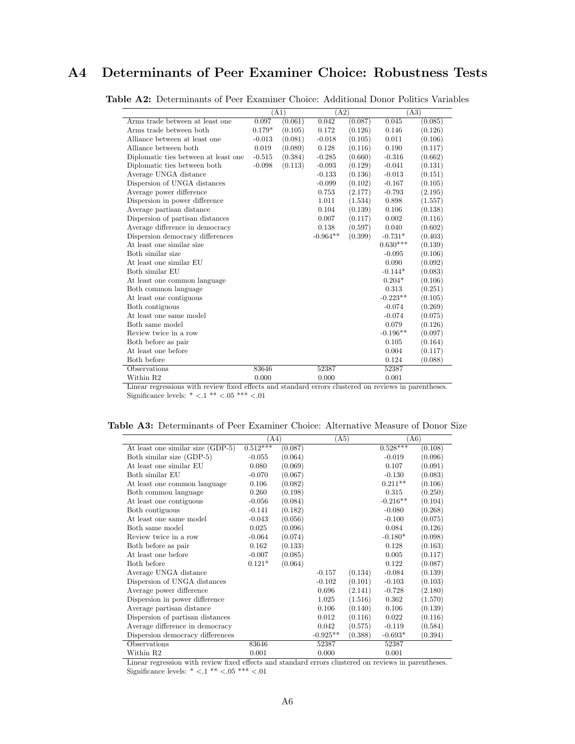## <span id="page-31-0"></span>A4 Determinants of Peer Examiner Choice: Robustness Tests

|                                      |          | (A1)    | (A2)       |         |            | (A3)    |
|--------------------------------------|----------|---------|------------|---------|------------|---------|
| Arms trade between at least one      | 0.097    | (0.061) | 0.042      | (0.087) | 0.045      | (0.085) |
| Arms trade between both              | $0.179*$ | (0.105) | 0.172      | (0.126) | 0.146      | (0.126) |
| Alliance between at least one        | $-0.013$ | (0.081) | $-0.018$   | (0.105) | 0.011      | (0.106) |
| Alliance between both                | 0.019    | (0.089) | 0.128      | (0.116) | 0.190      | (0.117) |
| Diplomatic ties between at least one | $-0.515$ | (0.384) | $-0.285$   | (0.660) | $-0.316$   | (0.662) |
| Diplomatic ties between both         | $-0.098$ | (0.113) | $-0.093$   | (0.129) | $-0.041$   | (0.131) |
| Average UNGA distance                |          |         | $-0.133$   | (0.136) | $-0.013$   | (0.151) |
| Dispersion of UNGA distances         |          |         | $-0.099$   | (0.102) | $-0.167$   | (0.105) |
| Average power difference             |          |         | 0.753      | (2.177) | $-0.793$   | (2.195) |
| Dispersion in power difference       |          |         | 1.011      | (1.534) | 0.898      | (1.557) |
| Average partisan distance            |          |         | 0.104      | (0.139) | 0.106      | (0.138) |
| Dispersion of partisan distances     |          |         | 0.007      | (0.117) | 0.002      | (0.116) |
| Average difference in democracy      |          |         | 0.138      | (0.597) | 0.040      | (0.602) |
| Dispersion democracy differences     |          |         | $-0.964**$ | (0.399) | $-0.731*$  | (0.403) |
| At least one similar size            |          |         |            |         | $0.630***$ | (0.139) |
| Both similar size                    |          |         |            |         | $-0.095$   | (0.106) |
| At least one similar EU              |          |         |            |         | 0.090      | (0.092) |
| Both similar EU                      |          |         |            |         | $-0.144*$  | (0.083) |
| At least one common language         |          |         |            |         | $0.204*$   | (0.106) |
| Both common language                 |          |         |            |         | 0.313      | (0.251) |
| At least one contiguous              |          |         |            |         | $-0.223**$ | (0.105) |
| Both contiguous                      |          |         |            |         | $-0.074$   | (0.269) |
| At least one same model              |          |         |            |         | $-0.074$   | (0.075) |
| Both same model                      |          |         |            |         | 0.079      | (0.126) |
| Review twice in a row                |          |         |            |         | $-0.196**$ | (0.097) |
| Both before as pair                  |          |         |            |         | 0.105      | (0.164) |
| At least one before                  |          |         |            |         | 0.004      | (0.117) |
| Both before                          |          |         |            |         | 0.124      | (0.088) |
| Observations                         | 83646    |         | 52387      |         | 52387      |         |
| Within R2                            | 0.000    |         | 0.000      |         | 0.001      |         |

Table A2: Determinants of Peer Examiner Choice: Additional Donor Politics Variables

Linear regressions with review fixed effects and standard errors clustered on reviews in parentheses. Significance levels: \* $<.1$  \*\*  $<.05$  \*\*\*  $<.01$ 

<span id="page-31-1"></span>

| <b>Table A3:</b> Determinants of Peer Examiner Choice: Alternative Measure of Donor Size |  |
|------------------------------------------------------------------------------------------|--|
|------------------------------------------------------------------------------------------|--|

|                                   | (A4)       |         | (A5)       |         | (A6)       |         |  |
|-----------------------------------|------------|---------|------------|---------|------------|---------|--|
| At least one similar size (GDP-5) | $0.512***$ | (0.087) |            |         | $0.528***$ | (0.108) |  |
| Both similar size (GDP-5)         | $-0.055$   | (0.064) |            |         | $-0.019$   | (0.096) |  |
| At least one similar EU           | 0.080      | (0.069) |            |         | 0.107      | (0.091) |  |
| Both similar EU                   | $-0.070$   | (0.067) |            |         | $-0.130$   | (0.083) |  |
| At least one common language      | 0.106      | (0.082) |            |         | $0.211**$  | (0.106) |  |
| Both common language              | 0.260      | (0.198) |            |         | 0.315      | (0.250) |  |
| At least one contiguous           | $-0.056$   | (0.084) |            |         | $-0.216**$ | (0.104) |  |
| Both contiguous                   | $-0.141$   | (0.182) |            |         | $-0.080$   | (0.268) |  |
| At least one same model           | $-0.043$   | (0.056) |            |         | $-0.100$   | (0.075) |  |
| Both same model                   | 0.025      | (0.096) |            |         | 0.084      | (0.126) |  |
| Review twice in a row             | $-0.064$   | (0.074) |            |         | $-0.180*$  | (0.098) |  |
| Both before as pair               | 0.162      | (0.133) |            |         | 0.128      | (0.163) |  |
| At least one before               | $-0.007$   | (0.085) |            |         | 0.005      | (0.117) |  |
| Both before                       | $0.121*$   | (0.064) |            |         | 0.122      | (0.087) |  |
| Average UNGA distance             |            |         | $-0.157$   | (0.134) | $-0.084$   | (0.139) |  |
| Dispersion of UNGA distances      |            |         | $-0.102$   | (0.101) | $-0.103$   | (0.103) |  |
| Average power difference          |            |         | 0.696      | (2.141) | $-0.728$   | (2.180) |  |
| Dispersion in power difference    |            |         | 1.025      | (1.516) | 0.362      | (1.570) |  |
| Average partisan distance         |            |         | 0.106      | (0.140) | 0.106      | (0.139) |  |
| Dispersion of partisan distances  |            |         | 0.012      | (0.116) | 0.022      | (0.116) |  |
| Average difference in democracy   |            |         | 0.042      | (0.575) | $-0.119$   | (0.584) |  |
| Dispersion democracy differences  |            |         | $-0.925**$ | (0.388) | $-0.693*$  | (0.394) |  |
| Observations                      | 83646      |         | 52387      |         | 52387      |         |  |
| Within R2                         | 0.001      |         | 0.000      |         | 0.001      |         |  |

Linear regression with review fixed effects and standard errors clustered on reviews in parentheses. Significance levels: \* $<.1$  \*\*  $<.05$  \*\*\*  $<.01$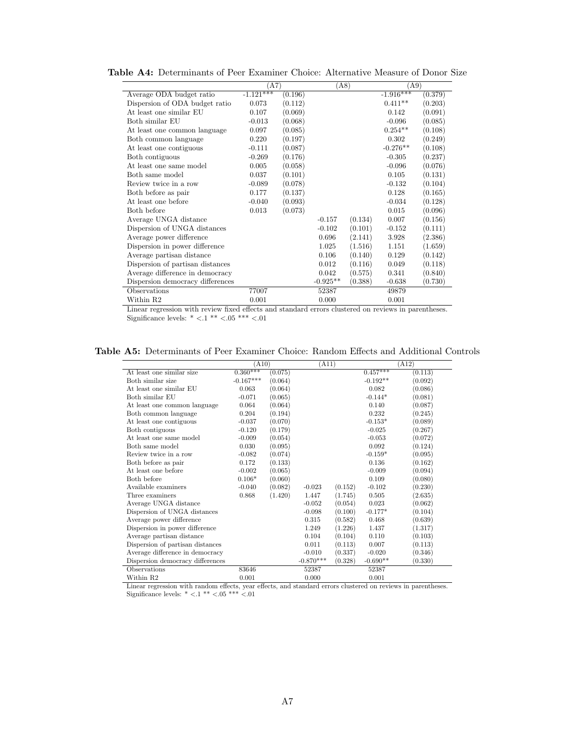|                                  | (A7)        |         | (A8)       |         | (A9)        |         |
|----------------------------------|-------------|---------|------------|---------|-------------|---------|
| Average ODA budget ratio         | $-1.121***$ | (0.196) |            |         | $-1.916***$ | (0.379) |
| Dispersion of ODA budget ratio   | 0.073       | (0.112) |            |         | $0.411**$   | (0.203) |
| At least one similar EU          | 0.107       | (0.069) |            |         | 0.142       | (0.091) |
| Both similar EU                  | $-0.013$    | (0.068) |            |         | $-0.096$    | (0.085) |
| At least one common language     | 0.097       | (0.085) |            |         | $0.254**$   | (0.108) |
| Both common language             | 0.220       | (0.197) |            |         | 0.302       | (0.249) |
| At least one contiguous          | $-0.111$    | (0.087) |            |         | $-0.276**$  | (0.108) |
| Both contiguous                  | $-0.269$    | (0.176) |            |         | $-0.305$    | (0.237) |
| At least one same model          | 0.005       | (0.058) |            |         | $-0.096$    | (0.076) |
| Both same model                  | 0.037       | (0.101) |            |         | 0.105       | (0.131) |
| Review twice in a row            | $-0.089$    | (0.078) |            |         | $-0.132$    | (0.104) |
| Both before as pair              | 0.177       | (0.137) |            |         | 0.128       | (0.165) |
| At least one before              | $-0.040$    | (0.093) |            |         | $-0.034$    | (0.128) |
| Both before                      | 0.013       | (0.073) |            |         | 0.015       | (0.096) |
| Average UNGA distance            |             |         | $-0.157$   | (0.134) | 0.007       | (0.156) |
| Dispersion of UNGA distances     |             |         | $-0.102$   | (0.101) | $-0.152$    | (0.111) |
| Average power difference         |             |         | 0.696      | (2.141) | 3.928       | (2.386) |
| Dispersion in power difference   |             |         | 1.025      | (1.516) | 1.151       | (1.659) |
| Average partisan distance        |             |         | 0.106      | (0.140) | 0.129       | (0.142) |
| Dispersion of partisan distances |             |         | 0.012      | (0.116) | 0.049       | (0.118) |
| Average difference in democracy  |             |         | 0.042      | (0.575) | 0.341       | (0.840) |
| Dispersion democracy differences |             |         | $-0.925**$ | (0.388) | $-0.638$    | (0.730) |
| Observations                     | 77007       |         | 52387      |         | 49879       |         |
| Within R2                        | 0.001       |         | 0.000      |         | 0.001       |         |

<span id="page-32-0"></span>Table A4: Determinants of Peer Examiner Choice: Alternative Measure of Donor Size

Linear regression with review fixed effects and standard errors clustered on reviews in parentheses. Significance levels: \* <.1 \*\* <.05 \*\*\* <.01

<span id="page-32-1"></span>Table A5: Determinants of Peer Examiner Choice: Random Effects and Additional Controls

|                                  | (A10)       |         | (A11)       |         |                       | (A12)   |
|----------------------------------|-------------|---------|-------------|---------|-----------------------|---------|
| At least one similar size        | $0.360***$  | (0.075) |             |         | $0.\overline{457***}$ | (0.113) |
| Both similar size                | $-0.167***$ | (0.064) |             |         | $-0.192**$            | (0.092) |
| At least one similar EU          | 0.063       | (0.064) |             |         | 0.082                 | (0.086) |
| Both similar EU                  | $-0.071$    | (0.065) |             |         | $-0.144*$             | (0.081) |
| At least one common language     | 0.064       | (0.064) |             |         | 0.140                 | (0.087) |
| Both common language             | 0.204       | (0.194) |             |         | 0.232                 | (0.245) |
| At least one contiguous          | $-0.037$    | (0.070) |             |         | $-0.153*$             | (0.089) |
| Both contiguous                  | $-0.120$    | (0.179) |             |         | $-0.025$              | (0.267) |
| At least one same model          | $-0.009$    | (0.054) |             |         | $-0.053$              | (0.072) |
| Both same model                  | 0.030       | (0.095) |             |         | 0.092                 | (0.124) |
| Review twice in a row            | $-0.082$    | (0.074) |             |         | $-0.159*$             | (0.095) |
| Both before as pair              | 0.172       | (0.133) |             |         | 0.136                 | (0.162) |
| At least one before              | $-0.002$    | (0.065) |             |         | $-0.009$              | (0.094) |
| Both before                      | $0.106*$    | (0.060) |             |         | 0.109                 | (0.080) |
| Available examiners              | $-0.040$    | (0.082) | $-0.023$    | (0.152) | $-0.102$              | (0.230) |
| Three examiners                  | 0.868       | (1.420) | 1.447       | (1.745) | 0.505                 | (2.635) |
| Average UNGA distance            |             |         | $-0.052$    | (0.054) | 0.023                 | (0.062) |
| Dispersion of UNGA distances     |             |         | $-0.098$    | (0.100) | $-0.177*$             | (0.104) |
| Average power difference         |             |         | 0.315       | (0.582) | 0.468                 | (0.639) |
| Dispersion in power difference   |             |         | 1.249       | (1.226) | 1.437                 | (1.317) |
| Average partisan distance        |             |         | 0.104       | (0.104) | 0.110                 | (0.103) |
| Dispersion of partisan distances |             |         | 0.011       | (0.113) | 0.007                 | (0.113) |
| Average difference in democracy  |             |         | $-0.010$    | (0.337) | $-0.020$              | (0.346) |
| Dispersion democracy differences |             |         | $-0.870***$ | (0.328) | $-0.690**$            | (0.330) |
| Observations                     | 83646       |         | 52387       |         | 52387                 |         |
| Within R2                        | 0.001       |         | 0.000       |         | 0.001                 |         |

Linear regression with random effects, year effects, and standard errors clustered on reviews in parentheses. Significance levels:  $^*$   $< 1$   $^{**}$   $< 05$   $^{***}$   $< 01$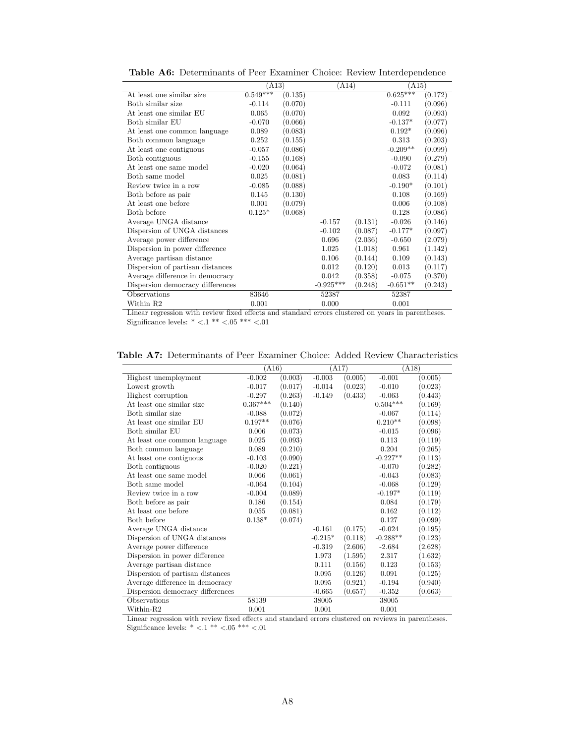<span id="page-33-0"></span>

|                                  | (A13)      |         | (A14)       |         | (A15)      |         |
|----------------------------------|------------|---------|-------------|---------|------------|---------|
| At least one similar size        | $0.549***$ | (0.135) |             |         | $0.625***$ | (0.172) |
| Both similar size                | $-0.114$   | (0.070) |             |         | $-0.111$   | (0.096) |
| At least one similar EU          | 0.065      | (0.070) |             |         | 0.092      | (0.093) |
| Both similar EU                  | $-0.070$   | (0.066) |             |         | $-0.137*$  | (0.077) |
| At least one common language     | 0.089      | (0.083) |             |         | $0.192*$   | (0.096) |
| Both common language             | 0.252      | (0.155) |             |         | 0.313      | (0.203) |
| At least one contiguous          | $-0.057$   | (0.086) |             |         | $-0.209**$ | (0.099) |
| Both contiguous                  | $-0.155$   | (0.168) |             |         | $-0.090$   | (0.279) |
| At least one same model          | $-0.020$   | (0.064) |             |         | $-0.072$   | (0.081) |
| Both same model                  | 0.025      | (0.081) |             |         | 0.083      | (0.114) |
| Review twice in a row            | $-0.085$   | (0.088) |             |         | $-0.190*$  | (0.101) |
| Both before as pair              | 0.145      | (0.130) |             |         | 0.108      | (0.169) |
| At least one before              | 0.001      | (0.079) |             |         | 0.006      | (0.108) |
| Both before                      | $0.125*$   | (0.068) |             |         | 0.128      | (0.086) |
| Average UNGA distance            |            |         | $-0.157$    | (0.131) | $-0.026$   | (0.146) |
| Dispersion of UNGA distances     |            |         | $-0.102$    | (0.087) | $-0.177*$  | (0.097) |
| Average power difference         |            |         | 0.696       | (2.036) | $-0.650$   | (2.079) |
| Dispersion in power difference   |            |         | 1.025       | (1.018) | 0.961      | (1.142) |
| Average partisan distance        |            |         | 0.106       | (0.144) | 0.109      | (0.143) |
| Dispersion of partisan distances |            |         | 0.012       | (0.120) | 0.013      | (0.117) |
| Average difference in democracy  |            |         | 0.042       | (0.358) | $-0.075$   | (0.370) |
| Dispersion democracy differences |            |         | $-0.925***$ | (0.248) | $-0.651**$ | (0.243) |
| Observations                     | 83646      |         | 52387       |         | 52387      |         |
| Within R2                        | 0.001      |         | 0.000       |         | 0.001      |         |

Table A6: Determinants of Peer Examiner Choice: Review Interdependence

Linear regression with review fixed effects and standard errors clustered on years in parentheses. Significance levels:  $* < 0.1$   $^{**} < 0.05$   $^{***} < 0.01$ 

<span id="page-33-1"></span>Table A7: Determinants of Peer Examiner Choice: Added Review Characteristics

|                                  | (A16)      |         | (A17)     |         | (A18)      |         |
|----------------------------------|------------|---------|-----------|---------|------------|---------|
| Highest unemployment             | $-0.002$   | (0.003) | $-0.003$  | (0.005) | $-0.001$   | (0.005) |
| Lowest growth                    | $-0.017$   | (0.017) | $-0.014$  | (0.023) | $-0.010$   | (0.023) |
| Highest corruption               | $-0.297$   | (0.263) | $-0.149$  | (0.433) | $-0.063$   | (0.443) |
| At least one similar size        | $0.367***$ | (0.140) |           |         | $0.504***$ | (0.169) |
| Both similar size                | $-0.088$   | (0.072) |           |         | $-0.067$   | (0.114) |
| At least one similar EU          | $0.197**$  | (0.076) |           |         | $0.210**$  | (0.098) |
| Both similar EU                  | 0.006      | (0.073) |           |         | $-0.015$   | (0.096) |
| At least one common language     | 0.025      | (0.093) |           |         | 0.113      | (0.119) |
| Both common language             | 0.089      | (0.210) |           |         | 0.204      | (0.265) |
| At least one contiguous          | $-0.103$   | (0.090) |           |         | $-0.227**$ | (0.113) |
| Both contiguous                  | $-0.020$   | (0.221) |           |         | $-0.070$   | (0.282) |
| At least one same model          | 0.066      | (0.061) |           |         | $-0.043$   | (0.083) |
| Both same model                  | $-0.064$   | (0.104) |           |         | $-0.068$   | (0.129) |
| Review twice in a row            | $-0.004$   | (0.089) |           |         | $-0.197*$  | (0.119) |
| Both before as pair              | 0.186      | (0.154) |           |         | 0.084      | (0.179) |
| At least one before              | 0.055      | (0.081) |           |         | 0.162      | (0.112) |
| Both before                      | $0.138*$   | (0.074) |           |         | 0.127      | (0.099) |
| Average UNGA distance            |            |         | $-0.161$  | (0.175) | $-0.024$   | (0.195) |
| Dispersion of UNGA distances     |            |         | $-0.215*$ | (0.118) | $-0.288**$ | (0.123) |
| Average power difference         |            |         | $-0.319$  | (2.606) | $-2.684$   | (2.628) |
| Dispersion in power difference   |            |         | 1.973     | (1.595) | 2.317      | (1.632) |
| Average partisan distance        |            |         | 0.111     | (0.156) | 0.123      | (0.153) |
| Dispersion of partisan distances |            |         | 0.095     | (0.126) | 0.091      | (0.125) |
| Average difference in democracy  |            |         | 0.095     | (0.921) | $-0.194$   | (0.940) |
| Dispersion democracy differences |            |         | $-0.665$  | (0.657) | $-0.352$   | (0.663) |
| Observations                     | 58139      |         | 38005     |         | 38005      |         |
| Within-R2                        | 0.001      |         | 0.001     |         | 0.001      |         |

Linear regression with review fixed effects and standard errors clustered on reviews in parentheses. Significance levels:  $* < 0.1 ** < 0.05 ** < 0.01$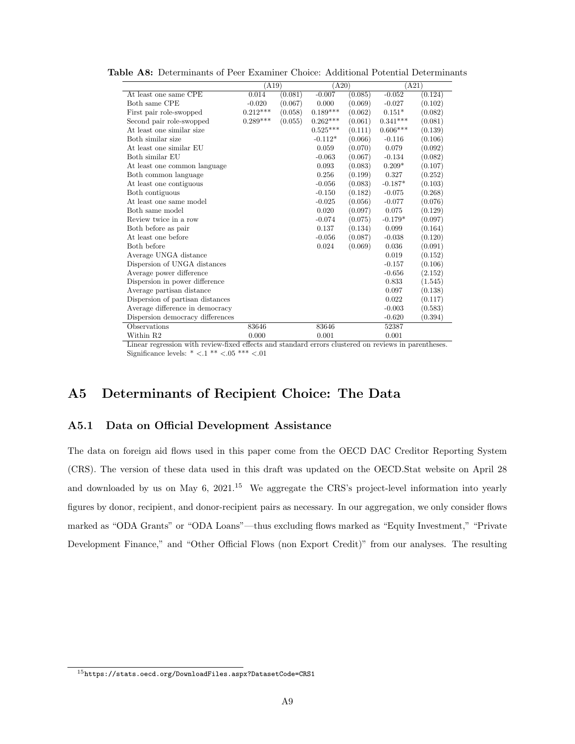|                                  | (A19)      |         | (A20)      |         | (A21)      |         |
|----------------------------------|------------|---------|------------|---------|------------|---------|
| At least one same CPE            | 0.014      | (0.081) | $-0.007$   | (0.085) | $-0.052$   | (0.124) |
| Both same CPE                    | $-0.020$   | (0.067) | 0.000      | (0.069) | $-0.027$   | (0.102) |
| First pair role-swopped          | $0.212***$ | (0.058) | $0.189***$ | (0.062) | $0.151*$   | (0.082) |
| Second pair role-swopped         | $0.289***$ | (0.055) | $0.262***$ | (0.061) | $0.341***$ | (0.081) |
| At least one similar size        |            |         | $0.525***$ | (0.111) | $0.606***$ | (0.139) |
| Both similar size                |            |         | $-0.112*$  | (0.066) | $-0.116$   | (0.106) |
| At least one similar EU          |            |         | 0.059      | (0.070) | 0.079      | (0.092) |
| Both similar EU                  |            |         | $-0.063$   | (0.067) | $-0.134$   | (0.082) |
| At least one common language     |            |         | 0.093      | (0.083) | $0.209*$   | (0.107) |
| Both common language             |            |         | 0.256      | (0.199) | 0.327      | (0.252) |
| At least one contiguous          |            |         | $-0.056$   | (0.083) | $-0.187*$  | (0.103) |
| Both contiguous                  |            |         | $-0.150$   | (0.182) | $-0.075$   | (0.268) |
| At least one same model          |            |         | $-0.025$   | (0.056) | $-0.077$   | (0.076) |
| Both same model                  |            |         | 0.020      | (0.097) | 0.075      | (0.129) |
| Review twice in a row            |            |         | $-0.074$   | (0.075) | $-0.179*$  | (0.097) |
| Both before as pair              |            |         | 0.137      | (0.134) | 0.099      | (0.164) |
| At least one before              |            |         | $-0.056$   | (0.087) | $-0.038$   | (0.120) |
| Both before                      |            |         | 0.024      | (0.069) | 0.036      | (0.091) |
| Average UNGA distance            |            |         |            |         | 0.019      | (0.152) |
| Dispersion of UNGA distances     |            |         |            |         | $-0.157$   | (0.106) |
| Average power difference         |            |         |            |         | $-0.656$   | (2.152) |
| Dispersion in power difference   |            |         |            |         | 0.833      | (1.545) |
| Average partisan distance        |            |         |            |         | 0.097      | (0.138) |
| Dispersion of partisan distances |            |         |            |         | 0.022      | (0.117) |
| Average difference in democracy  |            |         |            |         | $-0.003$   | (0.583) |
| Dispersion democracy differences |            |         |            |         | $-0.620$   | (0.394) |
| Observations                     | 83646      |         | 83646      |         | 52387      |         |
| Within R2                        | 0.000      |         | 0.001      |         | 0.001      |         |

<span id="page-34-0"></span>Table A8: Determinants of Peer Examiner Choice: Additional Potential Determinants

Linear regression with review-fixed effects and standard errors clustered on reviews in parentheses. Significance levels:  $* < 1** < 0.05*** < 0.01$ 

## A5 Determinants of Recipient Choice: The Data

### A5.1 Data on Official Development Assistance

The data on foreign aid flows used in this paper come from the OECD DAC Creditor Reporting System (CRS). The version of these data used in this draft was updated on the OECD.Stat website on April 28 and downloaded by us on May 6,  $2021<sup>15</sup>$  $2021<sup>15</sup>$  $2021<sup>15</sup>$  We aggregate the CRS's project-level information into yearly figures by donor, recipient, and donor-recipient pairs as necessary. In our aggregation, we only consider flows marked as "ODA Grants" or "ODA Loans"—thus excluding flows marked as "Equity Investment," "Private Development Finance," and "Other Official Flows (non Export Credit)" from our analyses. The resulting

<span id="page-34-1"></span><sup>15</sup><https://stats.oecd.org/DownloadFiles.aspx?DatasetCode=CRS1>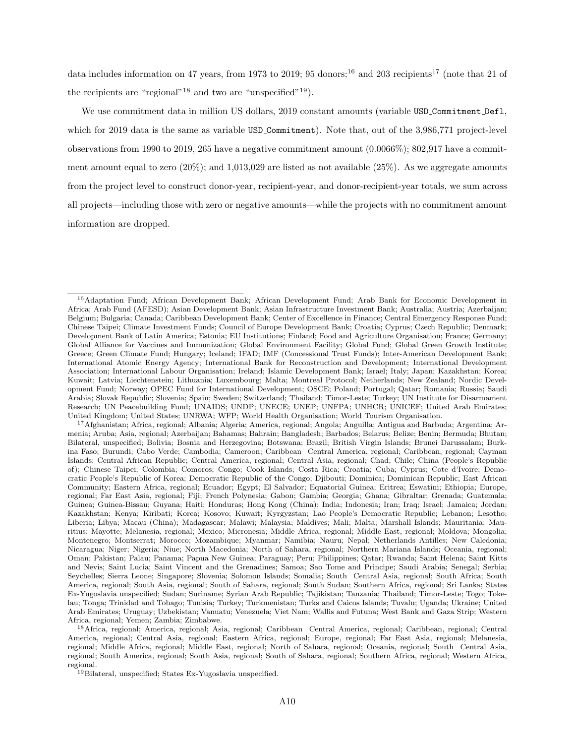data includes information on 47 years, from 1973 to 2019; 95 donors;<sup>[16](#page-35-0)</sup> and 203 recipients<sup>[17](#page-35-1)</sup> (note that 21 of the recipients are "regional"<sup>[18](#page-35-2)</sup> and two are "unspecified"<sup>[19](#page-35-3)</sup>).

We use commitment data in million US dollars, 2019 constant amounts (variable USD\_Commitment\_Defl, which for 2019 data is the same as variable USD Commitment). Note that, out of the 3,986,771 project-level observations from 1990 to 2019, 265 have a negative commitment amount (0.0066%); 802,917 have a commitment amount equal to zero  $(20\%)$ ; and  $1,013,029$  are listed as not available  $(25\%)$ . As we aggregate amounts from the project level to construct donor-year, recipient-year, and donor-recipient-year totals, we sum across all projects—including those with zero or negative amounts—while the projects with no commitment amount information are dropped.

<span id="page-35-0"></span><sup>&</sup>lt;sup>16</sup>Adaptation Fund; African Development Bank; African Development Fund; Arab Bank for Economic Development in Africa; Arab Fund (AFESD); Asian Development Bank; Asian Infrastructure Investment Bank; Australia; Austria; Azerbaijan; Belgium; Bulgaria; Canada; Caribbean Development Bank; Center of Excellence in Finance; Central Emergency Response Fund; Chinese Taipei; Climate Investment Funds; Council of Europe Development Bank; Croatia; Cyprus; Czech Republic; Denmark; Development Bank of Latin America; Estonia; EU Institutions; Finland; Food and Agriculture Organisation; France; Germany; Global Alliance for Vaccines and Immunization; Global Environment Facility; Global Fund; Global Green Growth Institute; Greece; Green Climate Fund; Hungary; Iceland; IFAD; IMF (Concessional Trust Funds); Inter-American Development Bank; International Atomic Energy Agency; International Bank for Reconstruction and Development; International Development Association; International Labour Organisation; Ireland; Islamic Development Bank; Israel; Italy; Japan; Kazakhstan; Korea; Kuwait; Latvia; Liechtenstein; Lithuania; Luxembourg; Malta; Montreal Protocol; Netherlands; New Zealand; Nordic Development Fund; Norway; OPEC Fund for International Development; OSCE; Poland; Portugal; Qatar; Romania; Russia; Saudi Arabia; Slovak Republic; Slovenia; Spain; Sweden; Switzerland; Thailand; Timor-Leste; Turkey; UN Institute for Disarmament Research; UN Peacebuilding Fund; UNAIDS; UNDP; UNECE; UNEP; UNFPA; UNHCR; UNICEF; United Arab Emirates; United Kingdom; United States; UNRWA; WFP; World Health Organisation; World Tourism Organisation.

<span id="page-35-1"></span><sup>17</sup>Afghanistan; Africa, regional; Albania; Algeria; America, regional; Angola; Anguilla; Antigua and Barbuda; Argentina; Armenia; Aruba; Asia, regional; Azerbaijan; Bahamas; Bahrain; Bangladesh; Barbados; Belarus; Belize; Benin; Bermuda; Bhutan; Bilateral, unspecified; Bolivia; Bosnia and Herzegovina; Botswana; Brazil; British Virgin Islands; Brunei Darussalam; Burkina Faso; Burundi; Cabo Verde; Cambodia; Cameroon; Caribbean Central America, regional; Caribbean, regional; Cayman Islands; Central African Republic; Central America, regional; Central Asia, regional; Chad; Chile; China (People's Republic of); Chinese Taipei; Colombia; Comoros; Congo; Cook Islands; Costa Rica; Croatia; Cuba; Cyprus; Cote d'Ivoire; Democratic People's Republic of Korea; Democratic Republic of the Congo; Djibouti; Dominica; Dominican Republic; East African Community; Eastern Africa, regional; Ecuador; Egypt; El Salvador; Equatorial Guinea; Eritrea; Eswatini; Ethiopia; Europe, regional; Far East Asia, regional; Fiji; French Polynesia; Gabon; Gambia; Georgia; Ghana; Gibraltar; Grenada; Guatemala; Guinea; Guinea-Bissau; Guyana; Haiti; Honduras; Hong Kong (China); India; Indonesia; Iran; Iraq; Israel; Jamaica; Jordan; Kazakhstan; Kenya; Kiribati; Korea; Kosovo; Kuwait; Kyrgyzstan; Lao People's Democratic Republic; Lebanon; Lesotho; Liberia; Libya; Macau (China); Madagascar; Malawi; Malaysia; Maldives; Mali; Malta; Marshall Islands; Mauritania; Mauritius; Mayotte; Melanesia, regional; Mexico; Micronesia; Middle Africa, regional; Middle East, regional; Moldova; Mongolia; Montenegro; Montserrat; Morocco; Mozambique; Myanmar; Namibia; Nauru; Nepal; Netherlands Antilles; New Caledonia; Nicaragua; Niger; Nigeria; Niue; North Macedonia; North of Sahara, regional; Northern Mariana Islands; Oceania, regional; Oman; Pakistan; Palau; Panama; Papua New Guinea; Paraguay; Peru; Philippines; Qatar; Rwanda; Saint Helena; Saint Kitts and Nevis; Saint Lucia; Saint Vincent and the Grenadines; Samoa; Sao Tome and Principe; Saudi Arabia; Senegal; Serbia; Seychelles; Sierra Leone; Singapore; Slovenia; Solomon Islands; Somalia; South Central Asia, regional; South Africa; South America, regional; South Asia, regional; South of Sahara, regional; South Sudan; Southern Africa, regional; Sri Lanka; States Ex-Yugoslavia unspecified; Sudan; Suriname; Syrian Arab Republic; Tajikistan; Tanzania; Thailand; Timor-Leste; Togo; Tokelau; Tonga; Trinidad and Tobago; Tunisia; Turkey; Turkmenistan; Turks and Caicos Islands; Tuvalu; Uganda; Ukraine; United Arab Emirates; Uruguay; Uzbekistan; Vanuatu; Venezuela; Viet Nam; Wallis and Futuna; West Bank and Gaza Strip; Western Africa, regional; Yemen; Zambia; Zimbabwe.

<span id="page-35-2"></span><sup>18</sup>Africa, regional; America, regional; Asia, regional; Caribbean Central America, regional; Caribbean, regional; Central America, regional; Central Asia, regional; Eastern Africa, regional; Europe, regional; Far East Asia, regional; Melanesia, regional; Middle Africa, regional; Middle East, regional; North of Sahara, regional; Oceania, regional; South Central Asia, regional; South America, regional; South Asia, regional; South of Sahara, regional; Southern Africa, regional; Western Africa, regional.

<span id="page-35-3"></span><sup>&</sup>lt;sup>19</sup>Bilateral, unspecified; States Ex-Yugoslavia unspecified.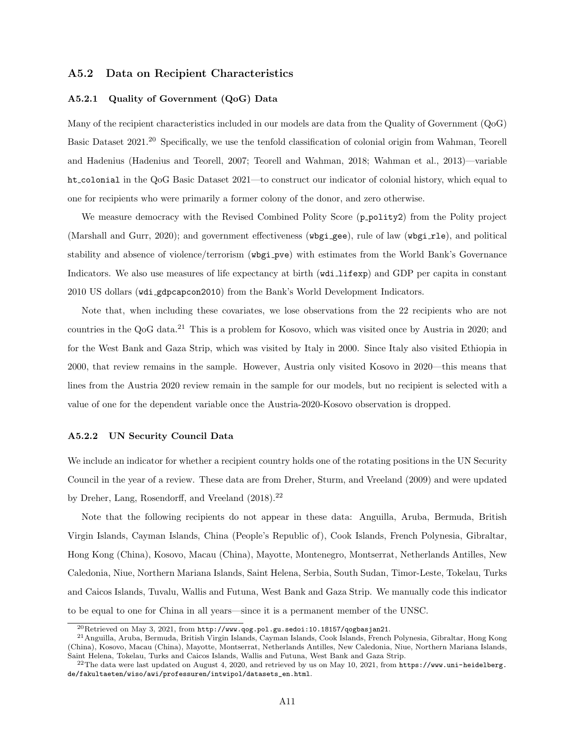### A5.2 Data on Recipient Characteristics

#### A5.2.1 Quality of Government (QoG) Data

Many of the recipient characteristics included in our models are data from the Quality of Government (QoG) Basic Dataset 2021.[20](#page-36-0) Specifically, we use the tenfold classification of colonial origin from Wahman, Teorell and Hadenius (Hadenius and Teorell, 2007; Teorell and Wahman, 2018; Wahman et al., 2013)—variable ht colonial in the QoG Basic Dataset 2021—to construct our indicator of colonial history, which equal to one for recipients who were primarily a former colony of the donor, and zero otherwise.

We measure democracy with the Revised Combined Polity Score (p\_polity2) from the Polity project (Marshall and Gurr, 2020); and government effectiveness (wbgi\_gee), rule of law (wbgi\_rle), and political stability and absence of violence/terrorism (wbgi pve) with estimates from the World Bank's Governance Indicators. We also use measures of life expectancy at birth (wdi lifexp) and GDP per capita in constant 2010 US dollars (wdi gdpcapcon2010) from the Bank's World Development Indicators.

Note that, when including these covariates, we lose observations from the 22 recipients who are not countries in the QoG data.[21](#page-36-1) This is a problem for Kosovo, which was visited once by Austria in 2020; and for the West Bank and Gaza Strip, which was visited by Italy in 2000. Since Italy also visited Ethiopia in 2000, that review remains in the sample. However, Austria only visited Kosovo in 2020—this means that lines from the Austria 2020 review remain in the sample for our models, but no recipient is selected with a value of one for the dependent variable once the Austria-2020-Kosovo observation is dropped.

#### A5.2.2 UN Security Council Data

We include an indicator for whether a recipient country holds one of the rotating positions in the UN Security Council in the year of a review. These data are from Dreher, Sturm, and Vreeland (2009) and were updated by Dreher, Lang, Rosendorff, and Vreeland (2018).<sup>[22](#page-36-2)</sup>

Note that the following recipients do not appear in these data: Anguilla, Aruba, Bermuda, British Virgin Islands, Cayman Islands, China (People's Republic of), Cook Islands, French Polynesia, Gibraltar, Hong Kong (China), Kosovo, Macau (China), Mayotte, Montenegro, Montserrat, Netherlands Antilles, New Caledonia, Niue, Northern Mariana Islands, Saint Helena, Serbia, South Sudan, Timor-Leste, Tokelau, Turks and Caicos Islands, Tuvalu, Wallis and Futuna, West Bank and Gaza Strip. We manually code this indicator to be equal to one for China in all years—since it is a permanent member of the UNSC.

<span id="page-36-1"></span><span id="page-36-0"></span> $^{20}$ Retrieved on May 3, 2021, from [http://www.qog.pol.gu.sedoi:10.18157/qogbasjan21](http://www.qog.pol.gu.se doi:10.18157/qogbasjan21).

<sup>21</sup>Anguilla, Aruba, Bermuda, British Virgin Islands, Cayman Islands, Cook Islands, French Polynesia, Gibraltar, Hong Kong (China), Kosovo, Macau (China), Mayotte, Montserrat, Netherlands Antilles, New Caledonia, Niue, Northern Mariana Islands, Saint Helena, Tokelau, Turks and Caicos Islands, Wallis and Futuna, West Bank and Gaza Strip.

<span id="page-36-2"></span><sup>&</sup>lt;sup>22</sup>The data were last updated on August 4, 2020, and retrieved by us on May 10, 2021, from [https://www.uni-heidelberg.](https://www.uni-heidelberg.de/fakultaeten/wiso/awi/professuren/intwipol/datasets_en.html) [de/fakultaeten/wiso/awi/professuren/intwipol/datasets\\_en.html](https://www.uni-heidelberg.de/fakultaeten/wiso/awi/professuren/intwipol/datasets_en.html).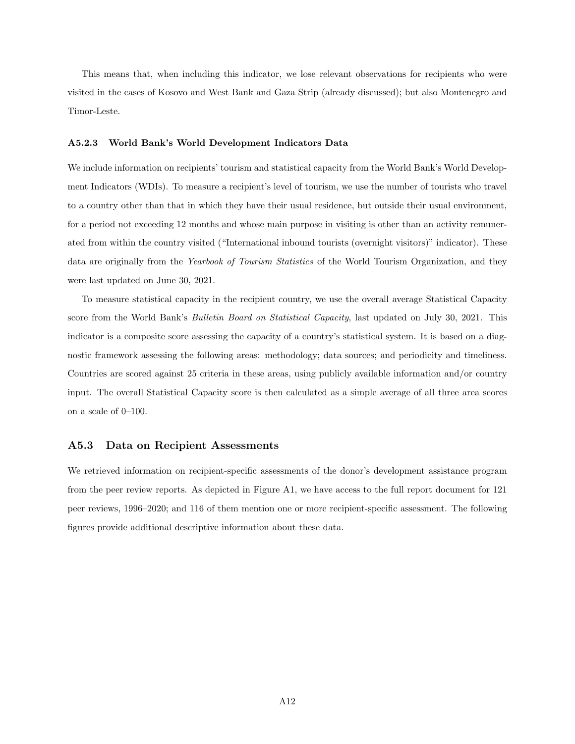This means that, when including this indicator, we lose relevant observations for recipients who were visited in the cases of Kosovo and West Bank and Gaza Strip (already discussed); but also Montenegro and Timor-Leste.

#### A5.2.3 World Bank's World Development Indicators Data

We include information on recipients' tourism and statistical capacity from the World Bank's World Development Indicators (WDIs). To measure a recipient's level of tourism, we use the number of tourists who travel to a country other than that in which they have their usual residence, but outside their usual environment, for a period not exceeding 12 months and whose main purpose in visiting is other than an activity remunerated from within the country visited ("International inbound tourists (overnight visitors)" indicator). These data are originally from the Yearbook of Tourism Statistics of the World Tourism Organization, and they were last updated on June 30, 2021.

To measure statistical capacity in the recipient country, we use the overall average Statistical Capacity score from the World Bank's *Bulletin Board on Statistical Capacity*, last updated on July 30, 2021. This indicator is a composite score assessing the capacity of a country's statistical system. It is based on a diagnostic framework assessing the following areas: methodology; data sources; and periodicity and timeliness. Countries are scored against 25 criteria in these areas, using publicly available information and/or country input. The overall Statistical Capacity score is then calculated as a simple average of all three area scores on a scale of 0–100.

#### A5.3 Data on Recipient Assessments

We retrieved information on recipient-specific assessments of the donor's development assistance program from the peer review reports. As depicted in Figure [A1,](#page-28-0) we have access to the full report document for 121 peer reviews, 1996–2020; and 116 of them mention one or more recipient-specific assessment. The following figures provide additional descriptive information about these data.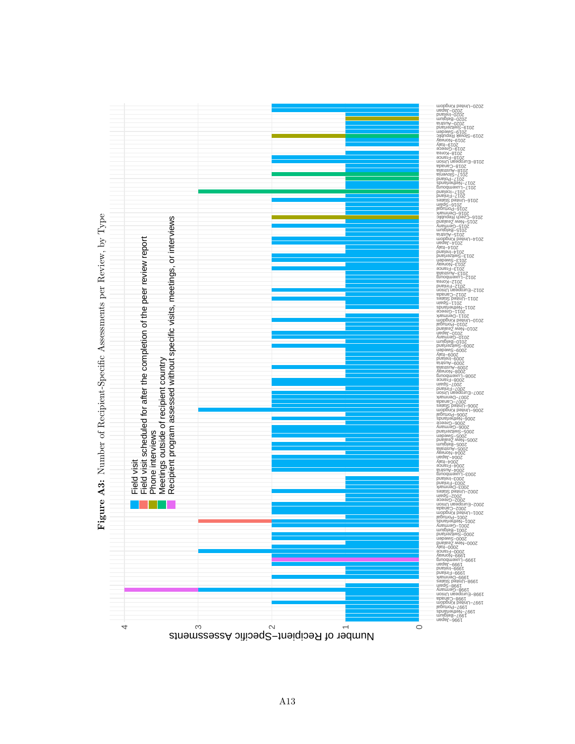

Number of Recipient-Specific Assessments per Review, by Type  $A3:$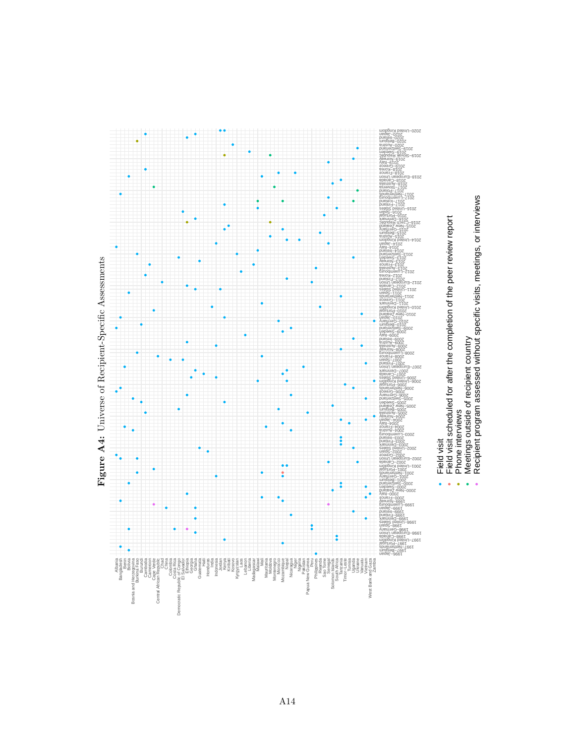



Recipient program assessed without specific visits, meetings, or interviews

 $\ddot{\phantom{0}}$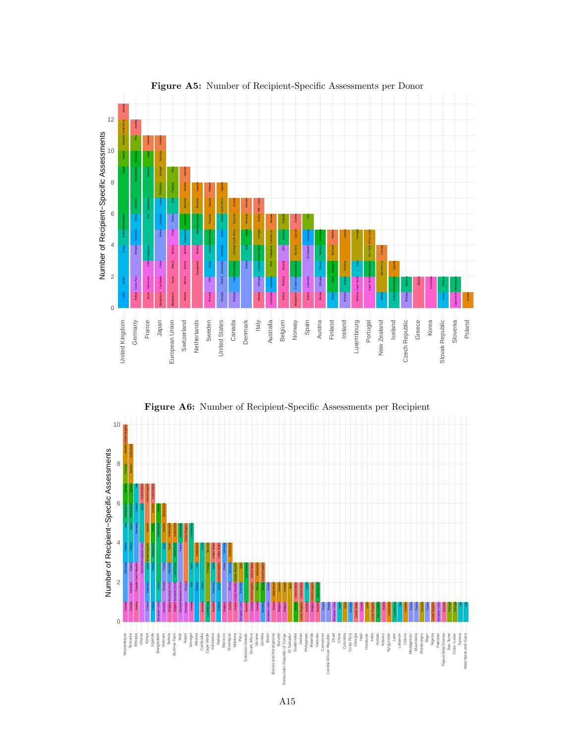

Figure A5: Number of Recipient-Specific Assessments per Donor